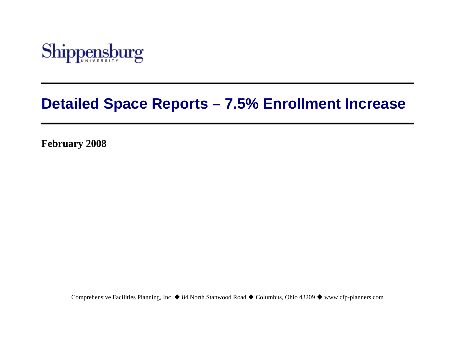

# **Detailed Space Reports – 7.5% Enrollment Increase**

**February 2008** 

Comprehensive Facilities Planning, Inc. ♦ 84 North Stanwood Road ♦ Columbus, Ohio 43209 ♦ www.cfp-planners.com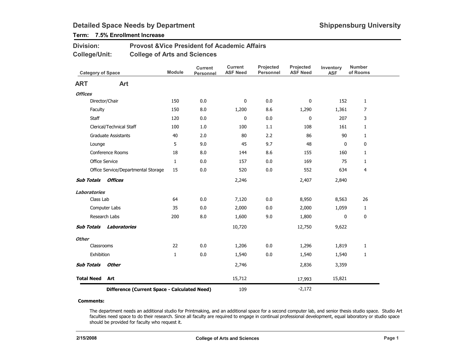## Term: 7.5% Enrollment Increase

| <b>Division:</b> | <b>Provost &amp; Vice President fof Academic Affairs</b> |
|------------------|----------------------------------------------------------|
| College/Unit:    | <b>College of Arts and Sciences</b>                      |

| <b>Category of Space</b> |                                              | <b>Module</b> | <b>Current</b><br>Personnel | <b>Current</b><br><b>ASF Need</b> | Projected<br>Personnel | Projected<br><b>ASF Need</b> | Inventory<br><b>ASF</b> | <b>Number</b><br>of Rooms |
|--------------------------|----------------------------------------------|---------------|-----------------------------|-----------------------------------|------------------------|------------------------------|-------------------------|---------------------------|
| <b>ART</b>               | Art                                          |               |                             |                                   |                        |                              |                         |                           |
| <b>Offices</b>           |                                              |               |                             |                                   |                        |                              |                         |                           |
|                          | Director/Chair                               | 150           | 0.0                         | 0                                 | 0.0                    | 0                            | 152                     | $\mathbf{1}$              |
| Faculty                  |                                              | 150           | 8.0                         | 1,200                             | 8.6                    | 1,290                        | 1,361                   | $\overline{7}$            |
| <b>Staff</b>             |                                              | 120           | 0.0                         | 0                                 | 0.0                    | $\mathbf{0}$                 | 207                     | 3                         |
|                          | Clerical/Technical Staff                     | 100           | 1.0                         | 100                               | 1.1                    | 108                          | 161                     | $\mathbf{1}$              |
|                          | <b>Graduate Assistants</b>                   | 40            | 2.0                         | 80                                | 2.2                    | 86                           | 90                      | $\mathbf{1}$              |
| Lounge                   |                                              | 5             | 9.0                         | 45                                | 9.7                    | 48                           | 0                       | 0                         |
|                          | Conference Rooms                             | 18            | 8.0                         | 144                               | 8.6                    | 155                          | 160                     | $\mathbf{1}$              |
|                          | Office Service                               | $\mathbf{1}$  | 0.0                         | 157                               | 0.0                    | 169                          | 75                      | $\mathbf{1}$              |
|                          | Office Service/Departmental Storage          | 15            | 0.0                         | 520                               | 0.0                    | 552                          | 634                     | 4                         |
| <b>Sub Totals</b>        | <b>Offices</b>                               |               |                             | 2,246                             |                        | 2,407                        | 2,840                   |                           |
| <b>Laboratories</b>      |                                              |               |                             |                                   |                        |                              |                         |                           |
| Class Lab                |                                              | 64            | 0.0                         | 7,120                             | 0.0                    | 8,950                        | 8,563                   | 26                        |
|                          | Computer Labs                                | 35            | 0.0                         | 2,000                             | 0.0                    | 2,000                        | 1,059                   | $\mathbf{1}$              |
|                          | Research Labs                                | 200           | 8.0                         | 1,600                             | 9.0                    | 1,800                        | 0                       | $\pmb{0}$                 |
| <b>Sub Totals</b>        | Laboratories                                 |               |                             | 10,720                            |                        | 12,750                       | 9,622                   |                           |
| <b>Other</b>             |                                              |               |                             |                                   |                        |                              |                         |                           |
| Classrooms               |                                              | 22            | 0.0                         | 1,206                             | 0.0                    | 1,296                        | 1,819                   | $\mathbf{1}$              |
| Exhibition               |                                              | $\mathbf{1}$  | 0.0                         | 1,540                             | 0.0                    | 1,540                        | 1,540                   | $\mathbf{1}$              |
| <b>Sub Totals</b>        | <b>Other</b>                                 |               |                             | 2,746                             |                        | 2,836                        | 3,359                   |                           |
| <b>Total Need</b>        | Art                                          |               |                             | 15,712                            |                        | 17,993                       | 15,821                  |                           |
|                          | Difference (Current Space - Calculated Need) |               | 109                         |                                   | $-2,172$               |                              |                         |                           |

#### Comments:

The department needs an additional studio for Printmaking, and an additional space for a second computer lab, and senior thesis studio space. Studio Art faculties need space to do their research. Since all faculty are required to engage in continual professional development, equal laboratory or studio space should be provided for faculty who request it.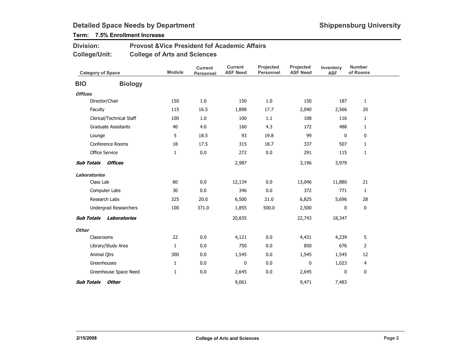## Term: 7.5% Enrollment Increase

#### Provost &Vice President fof Academic AffairsCollege of Arts and SciencesDivision:College/Unit:

| <b>Category of Space</b> |                              | <b>Module</b> | <b>Current</b><br>Personnel | <b>Current</b><br><b>ASF Need</b> | Projected<br><b>Personnel</b> | Projected<br><b>ASF Need</b> | Inventory<br><b>ASF</b> | <b>Number</b><br>of Rooms |
|--------------------------|------------------------------|---------------|-----------------------------|-----------------------------------|-------------------------------|------------------------------|-------------------------|---------------------------|
| <b>BIO</b>               | <b>Biology</b>               |               |                             |                                   |                               |                              |                         |                           |
| <b>Offices</b>           |                              |               |                             |                                   |                               |                              |                         |                           |
|                          | Director/Chair               | 150           | 1.0                         | 150                               | 1.0                           | 150                          | 187                     | $\mathbf{1}$              |
|                          | Faculty                      | 115           | 16.5                        | 1,898                             | 17.7                          | 2,040                        | 2,566                   | 20                        |
|                          | Clerical/Technical Staff     | 100           | 1.0                         | 100                               | 1.1                           | 108                          | 116                     | 1                         |
|                          | <b>Graduate Assistants</b>   | 40            | 4.0                         | 160                               | 4.3                           | 172                          | 488                     | $\mathbf{1}$              |
|                          | Lounge                       | 5             | 18.5                        | 93                                | 19.8                          | 99                           | 0                       | 0                         |
|                          | Conference Rooms             | 18            | 17.5                        | 315                               | 18.7                          | 337                          | 507                     | $\mathbf{1}$              |
|                          | Office Service               | 1             | 0.0                         | 272                               | 0.0                           | 291                          | 115                     | 1                         |
| <b>Sub Totals</b>        | Offices                      |               |                             | 2,987                             |                               | 3,196                        | 3,979                   |                           |
| <b>Laboratories</b>      |                              |               |                             |                                   |                               |                              |                         |                           |
|                          | Class Lab                    | 60            | 0.0                         | 12,134                            | 0.0                           | 13,046                       | 11,880                  | 21                        |
|                          | Computer Labs                | 30            | 0.0                         | 346                               | 0.0                           | 372                          | 771                     | 1                         |
|                          | Research Labs                | 325           | 20.0                        | 6,500                             | 21.0                          | 6,825                        | 5,696                   | 28                        |
|                          | <b>Undergrad Researchers</b> | 100           | 371.0                       | 1,855                             | 500.0                         | 2,500                        | 0                       | 0                         |
| <b>Sub Totals</b>        | Laboratories                 |               |                             | 20,835                            |                               | 22,743                       | 18,347                  |                           |
| <b>Other</b>             |                              |               |                             |                                   |                               |                              |                         |                           |
|                          | Classrooms                   | 22            | 0.0                         | 4,121                             | 0.0                           | 4,431                        | 4,239                   | 5                         |
|                          | Library/Study Area           | $\mathbf{1}$  | 0.0                         | 750                               | 0.0                           | 850                          | 676                     | $\overline{2}$            |
|                          | Animal Qtrs                  | 300           | 0.0                         | 1,545                             | 0.0                           | 1,545                        | 1,545                   | 12                        |
|                          | Greenhouses                  | $\mathbf{1}$  | 0.0                         | $\mathbf{0}$                      | 0.0                           | $\mathbf{0}$                 | 1,023                   | 4                         |
|                          | Greenhouse Space Need        | 1             | 0.0                         | 2,645                             | 0.0                           | 2,645                        | 0                       | 0                         |
| <b>Sub Totals</b>        | <b>Other</b>                 |               |                             | 9,061                             |                               | 9,471                        | 7,483                   |                           |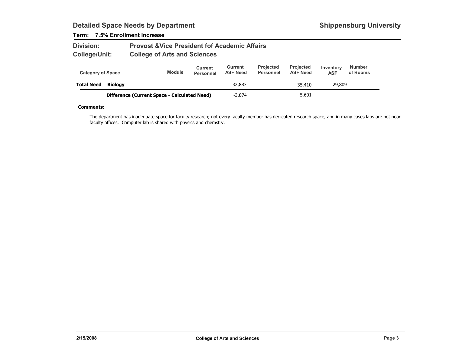### Term: 7.5% Enrollment Increase

| <b>Division:</b> | <b>Provost &amp; Vice President fof Academic Affairs</b> |
|------------------|----------------------------------------------------------|
| College/Unit:    | <b>College of Arts and Sciences</b>                      |

| <b>Category of Space</b> |                                              | <b>Module</b> | Current<br><b>Personnel</b> | Current<br><b>ASF Need</b> | <b>Projected</b><br><b>Personnel</b> | <b>Projected</b><br><b>ASF Need</b> | Inventory<br><b>ASF</b> | <b>Number</b><br>of Rooms |  |
|--------------------------|----------------------------------------------|---------------|-----------------------------|----------------------------|--------------------------------------|-------------------------------------|-------------------------|---------------------------|--|
| <b>Total Need</b>        | Biology                                      |               |                             | 32,883                     |                                      | 35,410                              | 29,809                  |                           |  |
|                          | Difference (Current Space - Calculated Need) |               |                             | $-3.074$                   |                                      | $-5,601$                            |                         |                           |  |

#### Comments:

The department has inadequate space for faculty research; not every faculty member has dedicated research space, and in many cases labs are not near faculty offices. Computer lab is shared with physics and chemstry.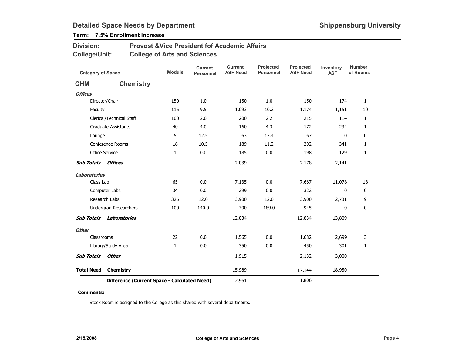## Term: 7.5% Enrollment Increase

| <b>Division:</b> | <b>Provost &amp; Vice President fof Academic Affairs</b> |
|------------------|----------------------------------------------------------|
| College/Unit:    | <b>College of Arts and Sciences</b>                      |

| <b>Category of Space</b>                     |                            | <b>Module</b> | <b>Current</b><br><b>Personnel</b> | <b>Current</b><br><b>ASF Need</b> | Projected<br><b>Personnel</b> | Projected<br><b>ASF Need</b> | Inventory<br><b>ASF</b> | <b>Number</b><br>of Rooms |
|----------------------------------------------|----------------------------|---------------|------------------------------------|-----------------------------------|-------------------------------|------------------------------|-------------------------|---------------------------|
| <b>CHM</b>                                   | <b>Chemistry</b>           |               |                                    |                                   |                               |                              |                         |                           |
| <b>Offices</b>                               |                            |               |                                    |                                   |                               |                              |                         |                           |
|                                              | Director/Chair             | 150           | 1.0                                | 150                               | 1.0                           | 150                          | 174                     | $\mathbf{1}$              |
| Faculty                                      |                            | 115           | 9.5                                | 1,093                             | 10.2                          | 1,174                        | 1,151                   | 10                        |
|                                              | Clerical/Technical Staff   | 100           | 2.0                                | 200                               | 2.2                           | 215                          | 114                     | $\mathbf{1}$              |
|                                              | <b>Graduate Assistants</b> | 40            | 4.0                                | 160                               | 4.3                           | 172                          | 232                     | 1                         |
| Lounge                                       |                            | 5             | 12.5                               | 63                                | 13.4                          | 67                           | $\mathbf 0$             | $\mathbf 0$               |
|                                              | <b>Conference Rooms</b>    | 18            | 10.5                               | 189                               | 11.2                          | 202                          | 341                     | $\mathbf{1}$              |
|                                              | <b>Office Service</b>      | $\mathbf{1}$  | 0.0                                | 185                               | 0.0                           | 198                          | 129                     | 1                         |
| <b>Sub Totals</b>                            | Offices                    |               |                                    | 2,039                             |                               | 2,178                        | 2,141                   |                           |
| <b>Laboratories</b>                          |                            |               |                                    |                                   |                               |                              |                         |                           |
| Class Lab                                    |                            | 65            | 0.0                                | 7,135                             | 0.0                           | 7,667                        | 11,078                  | 18                        |
|                                              | Computer Labs              | 34            | 0.0                                | 299                               | 0.0                           | 322                          | 0                       | $\mathbf 0$               |
|                                              | Research Labs              | 325           | 12.0                               | 3,900                             | 12.0                          | 3,900                        | 2,731                   | 9                         |
|                                              | Undergrad Researchers      | 100           | 140.0                              | 700                               | 189.0                         | 945                          | 0                       | $\bf{0}$                  |
| <b>Sub Totals</b>                            | Laboratories               |               |                                    | 12,034                            |                               | 12,834                       | 13,809                  |                           |
| <b>Other</b>                                 |                            |               |                                    |                                   |                               |                              |                         |                           |
| Classrooms                                   |                            | 22            | 0.0                                | 1,565                             | 0.0                           | 1,682                        | 2,699                   | 3                         |
|                                              | Library/Study Area         | $\mathbf{1}$  | 0.0                                | 350                               | 0.0                           | 450                          | 301                     | $\mathbf{1}$              |
| <b>Sub Totals</b>                            | <b>Other</b>               |               |                                    | 1,915                             |                               | 2,132                        | 3,000                   |                           |
| <b>Total Need</b>                            | Chemistry                  |               |                                    | 15,989                            |                               | 17,144                       | 18,950                  |                           |
| Difference (Current Space - Calculated Need) |                            |               |                                    | 2,961                             |                               | 1,806                        |                         |                           |

#### Comments:

Stock Room is assigned to the College as this shared with several departments.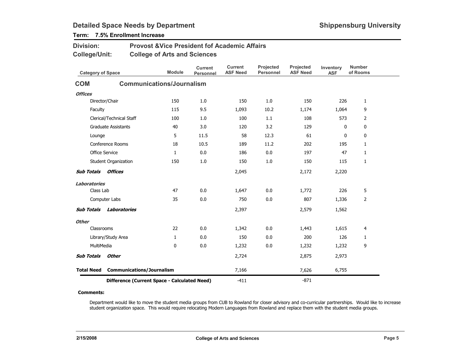## Term: 7.5% Enrollment Increase

| <b>Division:</b>         |                                              | <b>Provost &amp; Vice President fof Academic Affairs</b> |                                    |                                   |                                      |                              |                         |                           |
|--------------------------|----------------------------------------------|----------------------------------------------------------|------------------------------------|-----------------------------------|--------------------------------------|------------------------------|-------------------------|---------------------------|
| <b>College/Unit:</b>     |                                              | <b>College of Arts and Sciences</b>                      |                                    |                                   |                                      |                              |                         |                           |
| <b>Category of Space</b> |                                              | <b>Module</b>                                            | <b>Current</b><br><b>Personnel</b> | <b>Current</b><br><b>ASF Need</b> | <b>Projected</b><br><b>Personnel</b> | Projected<br><b>ASF Need</b> | Inventory<br><b>ASF</b> | <b>Number</b><br>of Rooms |
| <b>COM</b>               |                                              | <b>Communications/Journalism</b>                         |                                    |                                   |                                      |                              |                         |                           |
| <b>Offices</b>           |                                              |                                                          |                                    |                                   |                                      |                              |                         |                           |
|                          | Director/Chair                               | 150                                                      | 1.0                                | 150                               | 1.0                                  | 150                          | 226                     | $\mathbf{1}$              |
| Faculty                  |                                              | 115                                                      | 9.5                                | 1,093                             | 10.2                                 | 1,174                        | 1,064                   | 9                         |
|                          | Clerical/Technical Staff                     | 100                                                      | 1.0                                | 100                               | 1.1                                  | 108                          | 573                     | $\overline{2}$            |
|                          | <b>Graduate Assistants</b>                   | 40                                                       | 3.0                                | 120                               | 3.2                                  | 129                          | 0                       | 0                         |
| Lounge                   |                                              | 5                                                        | 11.5                               | 58                                | 12.3                                 | 61                           | $\mathbf{0}$            | 0                         |
|                          | Conference Rooms                             | 18                                                       | 10.5                               | 189                               | 11.2                                 | 202                          | 195                     | $\mathbf{1}$              |
| <b>Office Service</b>    |                                              | $\mathbf{1}$                                             | 0.0                                | 186                               | 0.0                                  | 197                          | 47                      | 1                         |
|                          | Student Organization                         | 150                                                      | 1.0                                | 150                               | 1.0                                  | 150                          | 115                     | 1                         |
| <b>Sub Totals</b>        | Offices                                      |                                                          |                                    | 2,045                             |                                      | 2,172                        | 2,220                   |                           |
| <b>Laboratories</b>      |                                              |                                                          |                                    |                                   |                                      |                              |                         |                           |
| Class Lab                |                                              | 47                                                       | 0.0                                | 1,647                             | 0.0                                  | 1,772                        | 226                     | 5                         |
|                          | Computer Labs                                | 35                                                       | 0.0                                | 750                               | 0.0                                  | 807                          | 1,336                   | $\overline{2}$            |
| <b>Sub Totals</b>        | Laboratories                                 |                                                          |                                    | 2,397                             |                                      | 2,579                        | 1,562                   |                           |
| <b>Other</b>             |                                              |                                                          |                                    |                                   |                                      |                              |                         |                           |
| Classrooms               |                                              | 22                                                       | 0.0                                | 1,342                             | 0.0                                  | 1,443                        | 1,615                   | 4                         |
|                          | Library/Study Area                           | 1                                                        | 0.0                                | 150                               | 0.0                                  | 200                          | 126                     | $\mathbf{1}$              |
| MultiMedia               |                                              | $\mathbf{0}$                                             | 0.0                                | 1,232                             | 0.0                                  | 1,232                        | 1,232                   | 9                         |
| <b>Sub Totals</b>        | <b>Other</b>                                 |                                                          |                                    | 2,724                             |                                      | 2,875                        | 2,973                   |                           |
| <b>Total Need</b>        | <b>Communications/Journalism</b>             |                                                          |                                    | 7,166                             |                                      | 7,626                        | 6,755                   |                           |
|                          | Difference (Current Space - Calculated Need) |                                                          |                                    | $-411$                            |                                      | $-871$                       |                         |                           |

#### Comments:

Department would like to move the student media groups from CUB to Rowland for closer advisory and co-curricular partnerships. Would like to increase student organization space. This would require relocating Modern Languages from Rowland and replace them with the student media groups.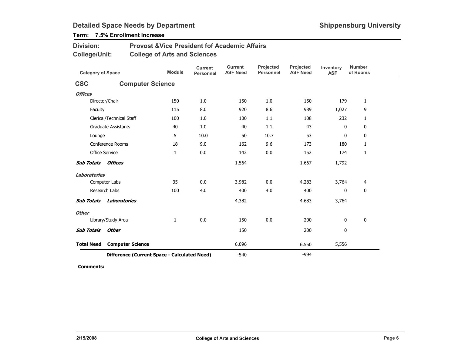## Term: 7.5% Enrollment Increase

| <b>Division:</b> | <b>Provost &amp; Vice President fof Academic Affairs</b> |
|------------------|----------------------------------------------------------|
| College/Unit:    | <b>College of Arts and Sciences</b>                      |

| <b>Category of Space</b> |                                              | <b>Module</b> | <b>Current</b><br><b>Personnel</b> | <b>Current</b><br><b>ASF Need</b> | Projected<br><b>Personnel</b> | Projected<br><b>ASF Need</b> | Inventory<br><b>ASF</b> | <b>Number</b><br>of Rooms |
|--------------------------|----------------------------------------------|---------------|------------------------------------|-----------------------------------|-------------------------------|------------------------------|-------------------------|---------------------------|
| <b>CSC</b>               | <b>Computer Science</b>                      |               |                                    |                                   |                               |                              |                         |                           |
| <b>Offices</b>           |                                              |               |                                    |                                   |                               |                              |                         |                           |
|                          | Director/Chair                               | 150           | 1.0                                | 150                               | 1.0                           | 150                          | 179                     | 1                         |
| Faculty                  |                                              | 115           | 8.0                                | 920                               | 8.6                           | 989                          | 1,027                   | 9                         |
|                          | Clerical/Technical Staff                     | 100           | 1.0                                | 100                               | 1.1                           | 108                          | 232                     | $\mathbf{1}$              |
|                          | <b>Graduate Assistants</b>                   | 40            | 1.0                                | 40                                | 1.1                           | 43                           | $\mathbf 0$             | 0                         |
| Lounge                   |                                              | 5             | 10.0                               | 50                                | 10.7                          | 53                           | $\mathbf 0$             | $\mathbf 0$               |
|                          | Conference Rooms                             | 18            | 9.0                                | 162                               | 9.6                           | 173                          | 180                     | 1                         |
|                          | <b>Office Service</b>                        | $\mathbf{1}$  | 0.0                                | 142                               | 0.0                           | 152                          | 174                     | 1                         |
| <b>Sub Totals</b>        | <b>Offices</b>                               |               |                                    | 1,564                             |                               | 1,667                        | 1,792                   |                           |
| <b>Laboratories</b>      |                                              |               |                                    |                                   |                               |                              |                         |                           |
|                          | Computer Labs                                | 35            | 0.0                                | 3,982                             | 0.0                           | 4,283                        | 3,764                   | 4                         |
|                          | Research Labs                                | 100           | 4.0                                | 400                               | 4.0                           | 400                          | 0                       | $\mathbf 0$               |
| <b>Sub Totals</b>        | Laboratories                                 |               |                                    | 4,382                             |                               | 4,683                        | 3,764                   |                           |
| <b>Other</b>             |                                              |               |                                    |                                   |                               |                              |                         |                           |
|                          | Library/Study Area                           | $\mathbf{1}$  | 0.0                                | 150                               | 0.0                           | 200                          | 0                       | 0                         |
| <b>Sub Totals</b>        | <b>Other</b>                                 |               |                                    | 150                               |                               | 200                          | 0                       |                           |
| <b>Total Need</b>        | <b>Computer Science</b>                      |               |                                    | 6,096                             |                               | 6,550                        | 5,556                   |                           |
|                          | Difference (Current Space - Calculated Need) | $-540$        |                                    | $-994$                            |                               |                              |                         |                           |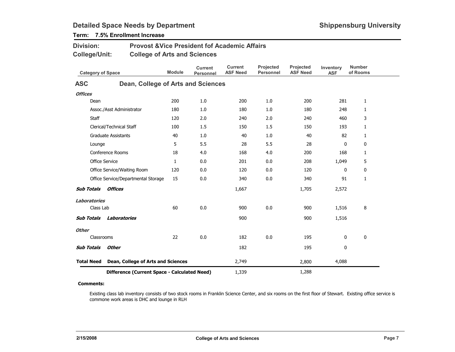Term: 7.5% Enrollment Increase

| <b>Division:</b><br><b>College/Unit:</b> |                       | <b>Provost &amp; Vice President fof Academic Affairs</b><br><b>College of Arts and Sciences</b> |               |                                    |                                   |                               |                              |                         |                           |
|------------------------------------------|-----------------------|-------------------------------------------------------------------------------------------------|---------------|------------------------------------|-----------------------------------|-------------------------------|------------------------------|-------------------------|---------------------------|
|                                          |                       | <b>Category of Space</b>                                                                        | <b>Module</b> | <b>Current</b><br><b>Personnel</b> | <b>Current</b><br><b>ASF Need</b> | Projected<br><b>Personnel</b> | Projected<br><b>ASF Need</b> | Inventory<br><b>ASF</b> | <b>Number</b><br>of Rooms |
| <b>ASC</b>                               |                       | Dean, College of Arts and Sciences                                                              |               |                                    |                                   |                               |                              |                         |                           |
| <b>Offices</b>                           |                       |                                                                                                 |               |                                    |                                   |                               |                              |                         |                           |
|                                          | Dean                  |                                                                                                 | 200           | 1.0                                | 200                               | 1.0                           | 200                          | 281                     | $\mathbf{1}$              |
|                                          |                       | Assoc./Asst Administrator                                                                       | 180           | 1.0                                | 180                               | 1.0                           | 180                          | 248                     | $\mathbf{1}$              |
|                                          | <b>Staff</b>          |                                                                                                 | 120           | 2.0                                | 240                               | 2.0                           | 240                          | 460                     | 3                         |
|                                          |                       | Clerical/Technical Staff                                                                        | 100           | 1.5                                | 150                               | 1.5                           | 150                          | 193                     | $\mathbf{1}$              |
|                                          |                       | <b>Graduate Assistants</b>                                                                      | 40            | 1.0                                | 40                                | 1.0                           | 40                           | 82                      | $\mathbf{1}$              |
|                                          | Lounge                |                                                                                                 | 5             | 5.5                                | 28                                | 5.5                           | 28                           | 0                       | 0                         |
|                                          |                       | Conference Rooms                                                                                | 18            | 4.0                                | 168                               | 4.0                           | 200                          | 168                     | $\mathbf{1}$              |
|                                          | <b>Office Service</b> |                                                                                                 | $\mathbf{1}$  | 0.0                                | 201                               | 0.0                           | 208                          | 1,049                   | 5                         |
|                                          |                       | Office Service/Waiting Room                                                                     | 120           | 0.0                                | 120                               | 0.0                           | 120                          | 0                       | 0                         |
|                                          |                       | Office Service/Departmental Storage                                                             | 15            | 0.0                                | 340                               | 0.0                           | 340                          | 91                      | $\mathbf{1}$              |
| <b>Sub Totals</b>                        |                       | Offices                                                                                         |               |                                    | 1,667                             |                               | 1,705                        | 2,572                   |                           |
| Laboratories                             |                       |                                                                                                 |               |                                    |                                   |                               |                              |                         |                           |
|                                          | Class Lab             |                                                                                                 | 60            | 0.0                                | 900                               | 0.0                           | 900                          | 1,516                   | 8                         |
| <b>Sub Totals</b>                        |                       | <b>Laboratories</b>                                                                             |               |                                    | 900                               |                               | 900                          | 1,516                   |                           |
| <b>Other</b>                             |                       |                                                                                                 |               |                                    |                                   |                               |                              |                         |                           |
|                                          | Classrooms            |                                                                                                 | 22            | 0.0                                | 182                               | 0.0                           | 195                          | $\mathbf 0$             | 0                         |
| <b>Sub Totals</b>                        |                       | <b>Other</b>                                                                                    |               |                                    | 182                               |                               | 195                          | 0                       |                           |
| <b>Total Need</b>                        |                       | Dean, College of Arts and Sciences                                                              |               |                                    | 2,749                             |                               | 2,800                        | 4,088                   |                           |
|                                          |                       | Difference (Current Space - Calculated Need)                                                    |               |                                    | 1,339                             |                               | 1,288                        |                         |                           |

#### Comments:

Existing class lab inventory consists of two stock rooms in Franklin Science Center, and six rooms on the first floor of Stewart. Existing office service is commone work areas is DHC and lounge in RLH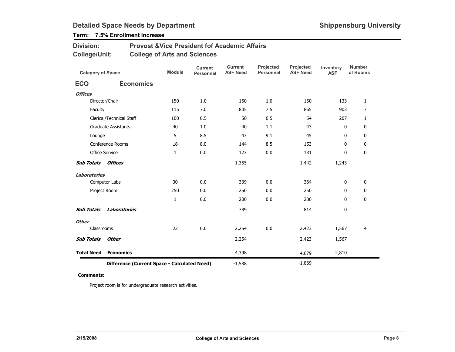## Term: 7.5% Enrollment Increase

| <b>Division:</b> | <b>Provost &amp; Vice President fof Academic Affairs</b> |
|------------------|----------------------------------------------------------|
| College/Unit:    | <b>College of Arts and Sciences</b>                      |

| <b>Category of Space</b> |                                              | <b>Module</b> | <b>Current</b><br>Personnel | <b>Current</b><br><b>ASF Need</b> | Projected<br>Personnel | <b>Projected</b><br><b>ASF Need</b> | Inventory<br><b>ASF</b> | <b>Number</b><br>of Rooms |
|--------------------------|----------------------------------------------|---------------|-----------------------------|-----------------------------------|------------------------|-------------------------------------|-------------------------|---------------------------|
| <b>ECO</b>               | <b>Economics</b>                             |               |                             |                                   |                        |                                     |                         |                           |
| <b>Offices</b>           |                                              |               |                             |                                   |                        |                                     |                         |                           |
|                          | Director/Chair                               | 150           | 1.0                         | 150                               | 1.0                    | 150                                 | 133                     | $\mathbf{1}$              |
| Faculty                  |                                              | 115           | 7.0                         | 805                               | 7.5                    | 865                                 | 903                     | $\overline{7}$            |
|                          | Clerical/Technical Staff                     | 100           | 0.5                         | 50                                | 0.5                    | 54                                  | 207                     | 1                         |
|                          | <b>Graduate Assistants</b>                   | 40            | 1.0                         | 40                                | 1.1                    | 43                                  | 0                       | 0                         |
| Lounge                   |                                              | 5             | 8.5                         | 43                                | 9.1                    | 45                                  | 0                       | 0                         |
|                          | Conference Rooms                             | 18            | 8.0                         | 144                               | 8.5                    | 153                                 | 0                       | 0                         |
|                          | <b>Office Service</b>                        | $\mathbf{1}$  | 0.0                         | 123                               | 0.0                    | 131                                 | 0                       | 0                         |
| <b>Sub Totals</b>        | <b>Offices</b>                               |               |                             | 1,355                             |                        | 1,442                               | 1,243                   |                           |
| <b>Laboratories</b>      |                                              |               |                             |                                   |                        |                                     |                         |                           |
|                          | Computer Labs                                | 30            | 0.0                         | 339                               | 0.0                    | 364                                 | 0                       | 0                         |
|                          | Project Room                                 | 250           | 0.0                         | 250                               | 0.0                    | 250                                 | 0                       | 0                         |
|                          |                                              | $\mathbf{1}$  | 0.0                         | 200                               | 0.0                    | 200                                 | 0                       | 0                         |
| <b>Sub Totals</b>        | Laboratories                                 |               |                             | 789                               |                        | 814                                 | 0                       |                           |
| <b>Other</b>             |                                              |               |                             |                                   |                        |                                     |                         |                           |
| Classrooms               |                                              | 22            | 0.0                         | 2,254                             | 0.0                    | 2,423                               | 1,567                   | 4                         |
| <b>Sub Totals</b>        | <b>Other</b>                                 |               |                             | 2,254                             |                        | 2,423                               | 1,567                   |                           |
| <b>Total Need</b>        | <b>Economics</b>                             |               |                             | 4,398                             |                        | 4,679                               | 2,810                   |                           |
|                          | Difference (Current Space - Calculated Need) |               |                             | $-1,588$                          |                        | $-1,869$                            |                         |                           |

#### Comments:

Project room is for undergraduate research activities.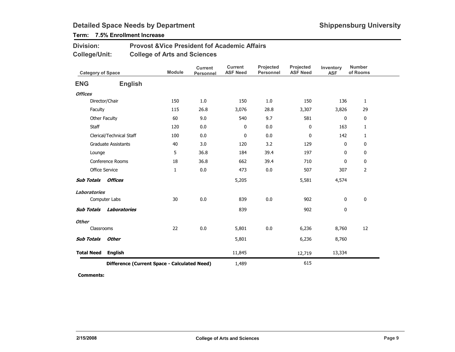## Term: 7.5% Enrollment Increase

| <b>Division:</b> | <b>Provost &amp; Vice President fof Academic Affairs</b> |
|------------------|----------------------------------------------------------|
| College/Unit:    | <b>College of Arts and Sciences</b>                      |

|                                              | <b>Category of Space</b>   |     | <b>Current</b><br><b>Personnel</b> | <b>Current</b><br><b>ASF Need</b> | Projected<br>Personnel | Projected<br><b>ASF Need</b> | Inventory<br><b>ASF</b> | <b>Number</b><br>of Rooms |
|----------------------------------------------|----------------------------|-----|------------------------------------|-----------------------------------|------------------------|------------------------------|-------------------------|---------------------------|
| <b>ENG</b>                                   | <b>English</b>             |     |                                    |                                   |                        |                              |                         |                           |
| <b>Offices</b>                               |                            |     |                                    |                                   |                        |                              |                         |                           |
|                                              | Director/Chair             | 150 | 1.0                                | 150                               | 1.0                    | 150                          | 136                     | $\mathbf{1}$              |
| Faculty                                      |                            | 115 | 26.8                               | 3,076                             | 28.8                   | 3,307                        | 3,826                   | 29                        |
|                                              | Other Faculty              | 60  | 9.0                                | 540                               | 9.7                    | 581                          | 0                       | $\mathbf 0$               |
| Staff                                        |                            | 120 | 0.0                                | 0                                 | 0.0                    | 0                            | 163                     | 1                         |
|                                              | Clerical/Technical Staff   | 100 | 0.0                                | $\bf{0}$                          | 0.0                    | 0                            | 142                     | 1                         |
|                                              | <b>Graduate Assistants</b> | 40  | 3.0                                | 120                               | 3.2                    | 129                          | 0                       | 0                         |
| Lounge                                       |                            | 5   | 36.8                               | 184                               | 39.4                   | 197                          | 0                       | 0                         |
|                                              | Conference Rooms           | 18  | 36.8                               | 662                               | 39.4                   | 710                          | $\mathbf 0$             | $\mathbf 0$               |
|                                              | Office Service             | 1   | $0.0\,$                            | 473                               | 0.0                    | 507                          | 307                     | $\overline{2}$            |
| <b>Sub Totals</b>                            | Offices                    |     |                                    | 5,205                             |                        | 5,581                        | 4,574                   |                           |
| <b>Laboratories</b>                          |                            |     |                                    |                                   |                        |                              |                         |                           |
|                                              | Computer Labs              | 30  | 0.0                                | 839                               | 0.0                    | 902                          | 0                       | 0                         |
| <b>Sub Totals</b>                            | Laboratories               |     |                                    | 839                               |                        | 902                          | 0                       |                           |
| <b>Other</b>                                 |                            |     |                                    |                                   |                        |                              |                         |                           |
| Classrooms                                   |                            | 22  | 0.0                                | 5,801                             | 0.0                    | 6,236                        | 8,760                   | 12                        |
| <b>Sub Totals</b>                            | <b>Other</b>               |     |                                    | 5,801                             |                        | 6,236                        | 8,760                   |                           |
| <b>Total Need</b>                            | <b>English</b>             |     |                                    | 11,845                            |                        | 12,719                       | 13,334                  |                           |
| Difference (Current Space - Calculated Need) |                            |     |                                    | 1,489                             |                        | 615                          |                         |                           |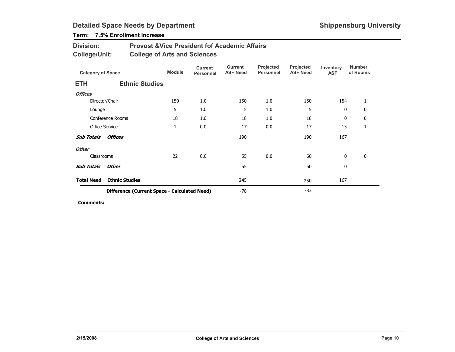## Term: 7.5% Enrollment Increase

| <b>Division:</b> | <b>Provost &amp; Vice President fof Academic Affairs</b> |
|------------------|----------------------------------------------------------|
| College/Unit:    | <b>College of Arts and Sciences</b>                      |

| <b>Category of Space</b> |                                              | <b>Module</b> | <b>Current</b><br>Personnel | Current<br><b>ASF Need</b> | Projected<br><b>Personnel</b> | Projected<br><b>ASF Need</b> | Inventory<br><b>ASF</b> | <b>Number</b><br>of Rooms |  |
|--------------------------|----------------------------------------------|---------------|-----------------------------|----------------------------|-------------------------------|------------------------------|-------------------------|---------------------------|--|
| <b>ETH</b>               | <b>Ethnic Studies</b>                        |               |                             |                            |                               |                              |                         |                           |  |
| <b>Offices</b>           |                                              |               |                             |                            |                               |                              |                         |                           |  |
|                          | Director/Chair                               | 150           | 1.0                         | 150                        | 1.0                           | 150                          | 154                     | 1                         |  |
| Lounge                   |                                              | 5             | 1.0                         | 5                          | 1.0                           | 5                            | 0                       | 0                         |  |
|                          | Conference Rooms                             | 18            | 1.0                         | 18                         | 1.0                           | 18                           | 0                       | 0                         |  |
|                          | <b>Office Service</b>                        | $\mathbf{1}$  | 0.0                         | 17                         | 0.0                           | 17                           | 13                      | 1                         |  |
| <b>Sub Totals</b>        | <b>Offices</b>                               |               |                             | 190                        |                               | 190                          | 167                     |                           |  |
| <b>Other</b>             |                                              |               |                             |                            |                               |                              |                         |                           |  |
| Classrooms               |                                              | 22            | 0.0                         | 55                         | 0.0                           | 60                           | 0                       | $\mathbf 0$               |  |
| <b>Sub Totals</b>        | Other                                        |               |                             | 55                         |                               | 60                           | 0                       |                           |  |
| <b>Total Need</b>        | <b>Ethnic Studies</b>                        |               |                             | 245                        |                               | 250                          | 167                     |                           |  |
|                          | Difference (Current Space - Calculated Need) |               |                             | -78                        |                               | -83                          |                         |                           |  |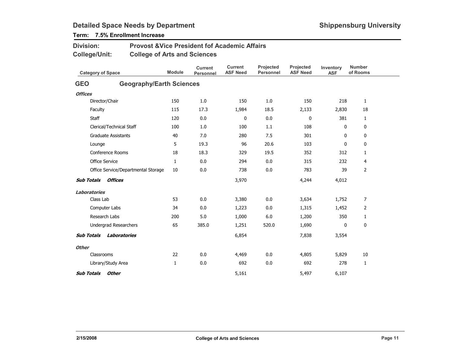## Term: 7.5% Enrollment Increase

| <b>Division:</b>                    | <b>Provost &amp; Vice President fof Academic Affairs</b> |               |                                    |                                   |                               |                              |                         |                           |
|-------------------------------------|----------------------------------------------------------|---------------|------------------------------------|-----------------------------------|-------------------------------|------------------------------|-------------------------|---------------------------|
| <b>College/Unit:</b>                | <b>College of Arts and Sciences</b>                      |               |                                    |                                   |                               |                              |                         |                           |
| <b>Category of Space</b>            |                                                          | <b>Module</b> | <b>Current</b><br><b>Personnel</b> | <b>Current</b><br><b>ASF Need</b> | Projected<br><b>Personnel</b> | Projected<br><b>ASF Need</b> | Inventory<br><b>ASF</b> | <b>Number</b><br>of Rooms |
| <b>GEO</b>                          | <b>Geography/Earth Sciences</b>                          |               |                                    |                                   |                               |                              |                         |                           |
| <b>Offices</b>                      |                                                          |               |                                    |                                   |                               |                              |                         |                           |
| Director/Chair                      |                                                          | 150           | 1.0                                | 150                               | 1.0                           | 150                          | 218                     | $\mathbf{1}$              |
| Faculty                             |                                                          | 115           | 17.3                               | 1,984                             | 18.5                          | 2,133                        | 2,830                   | 18                        |
| Staff                               |                                                          | 120           | 0.0                                | 0                                 | 0.0                           | 0                            | 381                     | 1                         |
| Clerical/Technical Staff            |                                                          | 100           | 1.0                                | 100                               | 1.1                           | 108                          | 0                       | 0                         |
| <b>Graduate Assistants</b>          |                                                          | 40            | 7.0                                | 280                               | 7.5                           | 301                          | 0                       | 0                         |
| Lounge                              |                                                          | 5             | 19.3                               | 96                                | 20.6                          | 103                          | $\mathbf{0}$            | 0                         |
| Conference Rooms                    |                                                          | 18            | 18.3                               | 329                               | 19.5                          | 352                          | 312                     | 1                         |
| <b>Office Service</b>               |                                                          | $\mathbf{1}$  | 0.0                                | 294                               | 0.0                           | 315                          | 232                     | 4                         |
|                                     | Office Service/Departmental Storage                      | 10            | 0.0                                | 738                               | 0.0                           | 783                          | 39                      | $\overline{2}$            |
| <b>Sub Totals</b><br><b>Offices</b> |                                                          |               |                                    | 3,970                             |                               | 4,244                        | 4,012                   |                           |
| Laboratories                        |                                                          |               |                                    |                                   |                               |                              |                         |                           |
| Class Lab                           |                                                          | 53            | 0.0                                | 3,380                             | 0.0                           | 3,634                        | 1,752                   | $\overline{7}$            |
| Computer Labs                       |                                                          | 34            | 0.0                                | 1,223                             | 0.0                           | 1,315                        | 1,452                   | $\overline{2}$            |
| Research Labs                       |                                                          | 200           | 5.0                                | 1,000                             | 6.0                           | 1,200                        | 350                     | 1                         |
| Undergrad Researchers               |                                                          | 65            | 385.0                              | 1,251                             | 520.0                         | 1,690                        | 0                       | 0                         |
| <b>Sub Totals</b>                   | Laboratories                                             |               |                                    | 6,854                             |                               | 7,838                        | 3,554                   |                           |
| <b>Other</b>                        |                                                          |               |                                    |                                   |                               |                              |                         |                           |
| Classrooms                          |                                                          | 22            | 0.0                                | 4,469                             | 0.0                           | 4,805                        | 5,829                   | 10                        |
| Library/Study Area                  |                                                          | 1             | 0.0                                | 692                               | 0.0                           | 692                          | 278                     | 1                         |
| <b>Sub Totals</b><br><b>Other</b>   |                                                          |               |                                    | 5,161                             |                               | 5,497                        | 6,107                   |                           |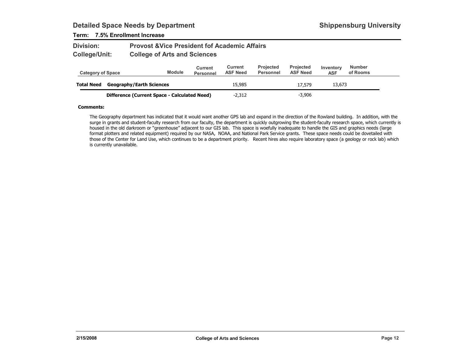### Term: 7.5% Enrollment Increase

| <b>Division:</b> | <b>Provost &amp; Vice President fof Academic Affairs</b> |
|------------------|----------------------------------------------------------|
| College/Unit:    | <b>College of Arts and Sciences</b>                      |

| <b>Category of Space</b> |                                              | <b>Module</b> | Current<br><b>Personnel</b> | Current<br><b>ASF Need</b> | <b>Projected</b><br>Personnel | <b>Projected</b><br><b>ASF Need</b> | Inventory<br><b>ASF</b> | <b>Number</b><br>of Rooms |  |
|--------------------------|----------------------------------------------|---------------|-----------------------------|----------------------------|-------------------------------|-------------------------------------|-------------------------|---------------------------|--|
| <b>Total Need</b>        | <b>Geography/Earth Sciences</b>              |               |                             | 15.985                     |                               | 17,579                              | 13,673                  |                           |  |
|                          | Difference (Current Space - Calculated Need) |               |                             | $-2.312$                   |                               | $-3.906$                            |                         |                           |  |

#### Comments:

The Geography department has indicated that it would want another GPS lab and expand in the direction of the Rowland building. In addition, with the surge in grants and student-faculty research from our faculty, the department is quickly outgrowing the student-faculty research space, which currently is housed in the old darkroom or "greenhouse" adjacent to our GIS lab. This space is woefully inadequate to handle the GIS and graphics needs (large format plotters and related equipment) required by our NASA, NOAA, and National Park Service grants. These space needs could be dovetailed with those of the Center for Land Use, which continues to be a department priority. Recent hires also require laboratory space (a geology or rock lab) which is currently unavailable.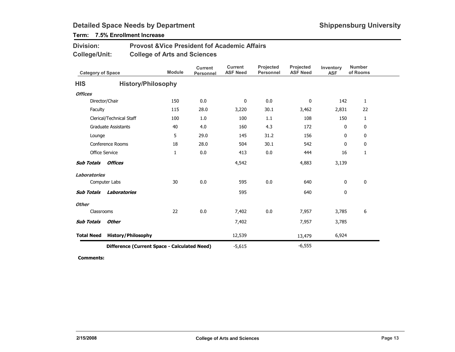## Term: 7.5% Enrollment Increase

| <b>Division:</b> | <b>Provost &amp; Vice President fof Academic Affairs</b> |
|------------------|----------------------------------------------------------|
| College/Unit:    | <b>College of Arts and Sciences</b>                      |

| <b>Category of Space</b>            |                                              | <b>Module</b> | <b>Current</b><br>Personnel | <b>Current</b><br><b>ASF Need</b> | Projected<br><b>Personnel</b> | Projected<br><b>ASF Need</b> | Inventory<br><b>ASF</b> | <b>Number</b><br>of Rooms |
|-------------------------------------|----------------------------------------------|---------------|-----------------------------|-----------------------------------|-------------------------------|------------------------------|-------------------------|---------------------------|
| <b>HIS</b>                          | <b>History/Philosophy</b>                    |               |                             |                                   |                               |                              |                         |                           |
| <b>Offices</b>                      |                                              |               |                             |                                   |                               |                              |                         |                           |
|                                     | Director/Chair                               | 150           | 0.0                         | $\mathbf 0$                       | 0.0                           | 0                            | 142                     | $\mathbf{1}$              |
| Faculty                             |                                              | 115           | 28.0                        | 3,220                             | 30.1                          | 3,462                        | 2,831                   | 22                        |
|                                     | Clerical/Technical Staff                     | 100           | 1.0                         | 100                               | 1.1                           | 108                          | 150                     | $\mathbf{1}$              |
|                                     | <b>Graduate Assistants</b>                   | 40            | 4.0                         | 160                               | 4.3                           | 172                          | 0                       | 0                         |
| Lounge                              |                                              | 5             | 29.0                        | 145                               | 31.2                          | 156                          | 0                       | $\mathbf 0$               |
|                                     | Conference Rooms                             | 18            | 28.0                        | 504                               | 30.1                          | 542                          | 0                       | 0                         |
|                                     | <b>Office Service</b>                        | $\mathbf{1}$  | 0.0                         | 413                               | 0.0                           | 444                          | 16                      | 1                         |
| <b>Offices</b><br><b>Sub Totals</b> |                                              |               | 4,542                       |                                   | 4,883                         | 3,139                        |                         |                           |
| <b>Laboratories</b>                 |                                              |               |                             |                                   |                               |                              |                         |                           |
|                                     | Computer Labs                                | 30            | 0.0                         | 595                               | 0.0                           | 640                          | 0                       | 0                         |
| <b>Sub Totals</b>                   | Laboratories                                 |               |                             | 595                               |                               | 640                          | 0                       |                           |
| <b>Other</b>                        |                                              |               |                             |                                   |                               |                              |                         |                           |
|                                     | Classrooms                                   | 22            | 0.0                         | 7,402                             | 0.0                           | 7,957                        | 3,785                   | 6                         |
| <b>Sub Totals</b>                   | <b>Other</b>                                 |               |                             | 7,402                             |                               | 7,957                        | 3,785                   |                           |
| <b>Total Need</b>                   | <b>History/Philosophy</b>                    |               |                             | 12,539                            |                               | 13,479                       | 6,924                   |                           |
|                                     | Difference (Current Space - Calculated Need) |               |                             |                                   |                               | $-6,555$                     |                         |                           |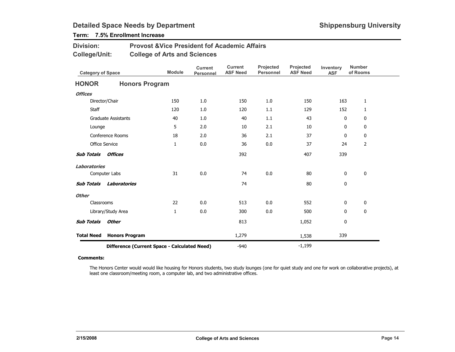## Term: 7.5% Enrollment Increase

| <b>Division:</b> | <b>Provost &amp; Vice President fof Academic Affairs</b> |
|------------------|----------------------------------------------------------|
| College/Unit:    | <b>College of Arts and Sciences</b>                      |

| <b>Category of Space</b> |                                              | <b>Module</b> | <b>Current</b><br><b>Personnel</b> | <b>Current</b><br><b>ASF Need</b> | Projected<br>Personnel | Projected<br><b>ASF Need</b> | Inventory<br><b>ASF</b> | <b>Number</b><br>of Rooms |
|--------------------------|----------------------------------------------|---------------|------------------------------------|-----------------------------------|------------------------|------------------------------|-------------------------|---------------------------|
| <b>HONOR</b>             | <b>Honors Program</b>                        |               |                                    |                                   |                        |                              |                         |                           |
| <b>Offices</b>           |                                              |               |                                    |                                   |                        |                              |                         |                           |
|                          | Director/Chair                               | 150           | 1.0                                | 150                               | 1.0                    | 150                          | 163                     | $\mathbf{1}$              |
| <b>Staff</b>             |                                              | 120           | 1.0                                | 120                               | 1.1                    | 129                          | 152                     | $\mathbf{1}$              |
|                          | <b>Graduate Assistants</b>                   | 40            | 1.0                                | 40                                | 1.1                    | 43                           | $\mathbf{0}$            | 0                         |
| Lounge                   |                                              | 5             | 2.0                                | 10                                | 2.1                    | 10                           | 0                       | 0                         |
|                          | <b>Conference Rooms</b>                      | 18            | 2.0                                | 36                                | 2.1                    | 37                           | 0                       | $\mathbf 0$               |
| <b>Office Service</b>    |                                              | $\mathbf{1}$  | 0.0                                | 36                                | 0.0                    | 37                           | 24                      | $\overline{2}$            |
| <b>Sub Totals</b>        | <b>Offices</b>                               |               |                                    | 392                               |                        | 407                          | 339                     |                           |
| <b>Laboratories</b>      |                                              |               |                                    |                                   |                        |                              |                         |                           |
|                          | Computer Labs                                | 31            | 0.0                                | 74                                | 0.0                    | 80                           | 0                       | $\mathbf 0$               |
| <b>Sub Totals</b>        | <b>Laboratories</b>                          |               |                                    | 74                                |                        | 80                           | $\mathbf 0$             |                           |
| <b>Other</b>             |                                              |               |                                    |                                   |                        |                              |                         |                           |
| Classrooms               |                                              | 22            | 0.0                                | 513                               | 0.0                    | 552                          | 0                       | 0                         |
|                          | Library/Study Area                           | $\mathbf{1}$  | 0.0                                | 300                               | 0.0                    | 500                          | 0                       | 0                         |
| <b>Sub Totals</b>        | Other                                        |               |                                    | 813                               |                        | 1,052                        | 0                       |                           |
| <b>Total Need</b>        | <b>Honors Program</b>                        |               |                                    | 1,279                             |                        | 1,538                        | 339                     |                           |
|                          | Difference (Current Space - Calculated Need) |               |                                    |                                   |                        | $-1,199$                     |                         |                           |

#### Comments:

The Honors Center would would like housing for Honors students, two study lounges (one for quiet study and one for work on collaborative projects), at least one classroom/meeting room, a computer lab, and two administrative offices.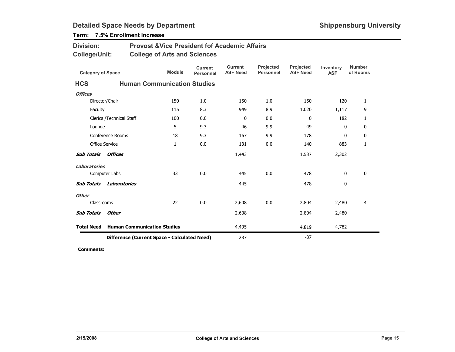Difference (Current Space - Calculated Need)

| <b>Division:</b><br><b>College/Unit:</b> |                                    | <b>Provost &amp; Vice President fof Academic Affairs</b><br><b>College of Arts and Sciences</b> |                                    |                                   |                                      |                                     |                         |                           |  |  |  |
|------------------------------------------|------------------------------------|-------------------------------------------------------------------------------------------------|------------------------------------|-----------------------------------|--------------------------------------|-------------------------------------|-------------------------|---------------------------|--|--|--|
| <b>Category of Space</b>                 |                                    | <b>Module</b>                                                                                   | <b>Current</b><br><b>Personnel</b> | <b>Current</b><br><b>ASF Need</b> | <b>Projected</b><br><b>Personnel</b> | <b>Projected</b><br><b>ASF Need</b> | Inventory<br><b>ASF</b> | <b>Number</b><br>of Rooms |  |  |  |
| <b>HCS</b>                               | <b>Human Communication Studies</b> |                                                                                                 |                                    |                                   |                                      |                                     |                         |                           |  |  |  |
| <b>Offices</b>                           |                                    |                                                                                                 |                                    |                                   |                                      |                                     |                         |                           |  |  |  |
| Director/Chair                           |                                    | 150                                                                                             | 1.0                                | 150                               | 1.0                                  | 150                                 | 120                     | 1                         |  |  |  |
| Faculty                                  |                                    | 115                                                                                             | 8.3                                | 949                               | 8.9                                  | 1,020                               | 1,117                   | 9                         |  |  |  |
| Clerical/Technical Staff                 |                                    | 100                                                                                             | 0.0                                | $\mathbf{0}$                      | 0.0                                  | $\mathbf{0}$                        | 182                     | 1                         |  |  |  |
| Lounge                                   |                                    | 5                                                                                               | 9.3                                | 46                                | 9.9                                  | 49                                  | $\mathbf{0}$            | 0                         |  |  |  |
| Conference Rooms                         |                                    | 18                                                                                              | 9.3                                | 167                               | 9.9                                  | 178                                 | 0                       | 0                         |  |  |  |
| <b>Office Service</b>                    |                                    | $\mathbf{1}$                                                                                    | 0.0                                | 131                               | 0.0                                  | 140                                 | 883                     | 1                         |  |  |  |
| <b>Sub Totals</b><br><b>Offices</b>      |                                    |                                                                                                 |                                    | 1,443                             |                                      | 1,537                               | 2,302                   |                           |  |  |  |
| <b>Laboratories</b>                      |                                    |                                                                                                 |                                    |                                   |                                      |                                     |                         |                           |  |  |  |
| Computer Labs                            |                                    | 33                                                                                              | 0.0                                | 445                               | 0.0                                  | 478                                 | $\mathbf{0}$            | $\mathbf 0$               |  |  |  |
| <b>Sub Totals</b>                        | <b>Laboratories</b>                |                                                                                                 |                                    | 445                               |                                      | 478                                 | $\mathbf 0$             |                           |  |  |  |
| <b>Other</b>                             |                                    |                                                                                                 |                                    |                                   |                                      |                                     |                         |                           |  |  |  |
| Classrooms                               |                                    | 22                                                                                              | 0.0                                | 2,608                             | 0.0                                  | 2,804                               | 2,480                   | 4                         |  |  |  |
| <b>Sub Totals</b><br><b>Other</b>        |                                    |                                                                                                 |                                    | 2,608                             |                                      | 2,804                               | 2,480                   |                           |  |  |  |
| <b>Total Need</b>                        | <b>Human Communication Studies</b> |                                                                                                 |                                    | 4,495                             |                                      | 4,819                               | 4,782                   |                           |  |  |  |

## Term: 7.5% Enrollment Increase

Comments:

<sup>287</sup>

-37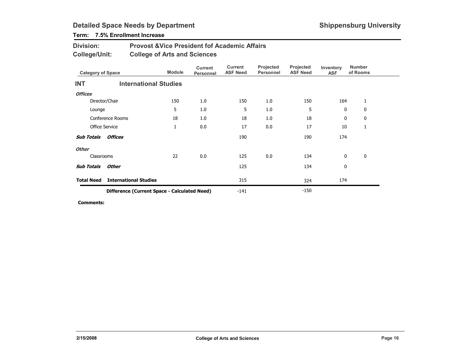## Term: 7.5% Enrollment Increase

| <b>Division:</b> | <b>Provost &amp; Vice President fof Academic Affairs</b> |
|------------------|----------------------------------------------------------|
| College/Unit:    | <b>College of Arts and Sciences</b>                      |

| <b>Category of Space</b> |                                              | <b>Module</b>                | <b>Current</b><br>Personnel | Current<br><b>ASF Need</b> | Projected<br><b>Personnel</b> | Projected<br><b>ASF Need</b> | Inventory<br><b>ASF</b> | <b>Number</b><br>of Rooms |  |
|--------------------------|----------------------------------------------|------------------------------|-----------------------------|----------------------------|-------------------------------|------------------------------|-------------------------|---------------------------|--|
| <b>INT</b>               |                                              | <b>International Studies</b> |                             |                            |                               |                              |                         |                           |  |
| <b>Offices</b>           |                                              |                              |                             |                            |                               |                              |                         |                           |  |
|                          | Director/Chair                               | 150                          | 1.0                         | 150                        | 1.0                           | 150                          | 164                     | 1                         |  |
| Lounge                   |                                              | 5                            | 1.0                         | 5                          | 1.0                           | 5                            | 0                       | 0                         |  |
|                          | Conference Rooms                             | 18                           | 1.0                         | 18                         | 1.0                           | 18                           | 0                       | 0                         |  |
| <b>Office Service</b>    |                                              | 1                            | 0.0                         | 17                         | 0.0                           | 17                           | 10                      | 1                         |  |
| <b>Sub Totals</b>        | <b>Offices</b>                               |                              |                             | 190                        |                               | 190                          | 174                     |                           |  |
| <b>Other</b>             |                                              |                              |                             |                            |                               |                              |                         |                           |  |
| Classrooms               |                                              | 22                           | 0.0                         | 125                        | 0.0                           | 134                          | $\mathbf{0}$            | 0                         |  |
| <b>Sub Totals</b>        | Other                                        |                              |                             | 125                        |                               | 134                          | 0                       |                           |  |
| <b>Total Need</b>        | <b>International Studies</b>                 |                              |                             | 315                        |                               | 324                          | 174                     |                           |  |
|                          | Difference (Current Space - Calculated Need) |                              |                             |                            |                               | $-150$                       |                         |                           |  |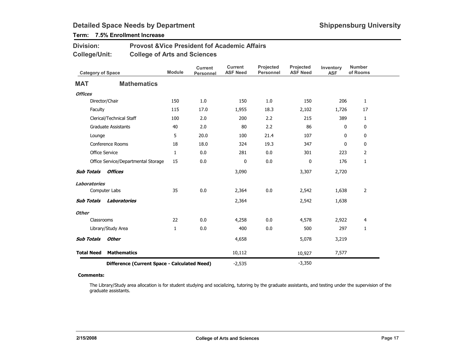## Term: 7.5% Enrollment Increase

| <b>Division:</b> | <b>Provost &amp; Vice President fof Academic Affairs</b> |
|------------------|----------------------------------------------------------|
| College/Unit:    | <b>College of Arts and Sciences</b>                      |

| <b>Category of Space</b> |                                              | <b>Module</b> | <b>Current</b><br><b>Personnel</b> | <b>Current</b><br><b>ASF Need</b> | Projected<br><b>Personnel</b> | Projected<br><b>ASF Need</b> | Inventory<br><b>ASF</b> | <b>Number</b><br>of Rooms |
|--------------------------|----------------------------------------------|---------------|------------------------------------|-----------------------------------|-------------------------------|------------------------------|-------------------------|---------------------------|
| <b>MAT</b>               | <b>Mathematics</b>                           |               |                                    |                                   |                               |                              |                         |                           |
| <b>Offices</b>           |                                              |               |                                    |                                   |                               |                              |                         |                           |
|                          | Director/Chair                               | 150           | 1.0                                | 150                               | 1.0                           | 150                          | 206                     | $\mathbf{1}$              |
| Faculty                  |                                              | 115           | 17.0                               | 1,955                             | 18.3                          | 2,102                        | 1,726                   | 17                        |
|                          | Clerical/Technical Staff                     | 100           | 2.0                                | 200                               | 2.2                           | 215                          | 389                     | $\mathbf{1}$              |
|                          | <b>Graduate Assistants</b>                   | 40            | 2.0                                | 80                                | 2.2                           | 86                           | 0                       | 0                         |
| Lounge                   |                                              | 5             | 20.0                               | 100                               | 21.4                          | 107                          | 0                       | 0                         |
|                          | Conference Rooms                             | 18            | 18.0                               | 324                               | 19.3                          | 347                          | 0                       | $\mathbf 0$               |
|                          | <b>Office Service</b>                        | $\mathbf{1}$  | 0.0                                | 281                               | 0.0                           | 301                          | 223                     | $\overline{2}$            |
|                          | Office Service/Departmental Storage          | 15            | 0.0                                | 0                                 | 0.0                           | 0                            | 176                     | 1                         |
| <b>Sub Totals</b>        | <b>Offices</b>                               |               |                                    | 3,090                             |                               | 3,307                        | 2,720                   |                           |
| <b>Laboratories</b>      |                                              |               |                                    |                                   |                               |                              |                         |                           |
|                          | Computer Labs                                | 35            | 0.0                                | 2,364                             | 0.0                           | 2,542                        | 1,638                   | $\overline{2}$            |
| <b>Sub Totals</b>        | <b>Laboratories</b>                          |               |                                    | 2,364                             |                               | 2,542                        | 1,638                   |                           |
| <b>Other</b>             |                                              |               |                                    |                                   |                               |                              |                         |                           |
| Classrooms               |                                              | 22            | 0.0                                | 4,258                             | 0.0                           | 4,578                        | 2,922                   | 4                         |
|                          | Library/Study Area                           | $\mathbf{1}$  | 0.0                                | 400                               | 0.0                           | 500                          | 297                     | 1                         |
| <b>Sub Totals</b>        | <b>Other</b>                                 |               |                                    | 4,658                             |                               | 5,078                        | 3,219                   |                           |
| <b>Total Need</b>        | <b>Mathematics</b>                           |               |                                    | 10,112                            |                               | 10,927                       | 7,577                   |                           |
|                          | Difference (Current Space - Calculated Need) |               |                                    | $-2,535$                          |                               | $-3,350$                     |                         |                           |

#### Comments:

The Library/Study area allocation is for student studying and socializing, tutoring by the graduate assistants, and testing under the supervision of the graduate assistants.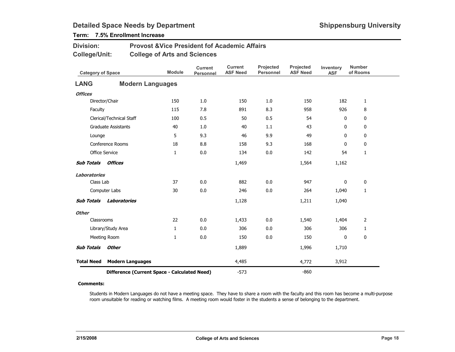## Term: 7.5% Enrollment Increase

| <b>Division:</b> | <b>Provost &amp; Vice President fof Academic Affairs</b> |
|------------------|----------------------------------------------------------|
| College/Unit:    | <b>College of Arts and Sciences</b>                      |

| <b>Category of Space</b> |                                              | <b>Module</b> | <b>Current</b><br>Personnel | <b>Current</b><br><b>ASF Need</b> | Projected<br><b>Personnel</b> | Projected<br><b>ASF Need</b> | Inventory<br><b>ASF</b> | <b>Number</b><br>of Rooms |
|--------------------------|----------------------------------------------|---------------|-----------------------------|-----------------------------------|-------------------------------|------------------------------|-------------------------|---------------------------|
| <b>LANG</b>              | <b>Modern Languages</b>                      |               |                             |                                   |                               |                              |                         |                           |
| <b>Offices</b>           |                                              |               |                             |                                   |                               |                              |                         |                           |
|                          | Director/Chair                               | 150           | 1.0                         | 150                               | 1.0                           | 150                          | 182                     | 1                         |
| Faculty                  |                                              | 115           | 7.8                         | 891                               | 8.3                           | 958                          | 926                     | 8                         |
|                          | Clerical/Technical Staff                     | 100           | 0.5                         | 50                                | 0.5                           | 54                           | 0                       | 0                         |
|                          | <b>Graduate Assistants</b>                   | 40            | 1.0                         | 40                                | 1.1                           | 43                           | 0                       | 0                         |
| Lounge                   |                                              | 5             | 9.3                         | 46                                | 9.9                           | 49                           | 0                       | 0                         |
|                          | <b>Conference Rooms</b>                      | 18            | 8.8                         | 158                               | 9.3                           | 168                          | $\mathbf{0}$            | 0                         |
|                          | <b>Office Service</b>                        | 1             | 0.0                         | 134                               | 0.0                           | 142                          | 54                      | $\mathbf{1}$              |
| <b>Sub Totals</b>        | <b>Offices</b>                               |               |                             | 1,469                             |                               | 1,564                        | 1,162                   |                           |
| <b>Laboratories</b>      |                                              |               |                             |                                   |                               |                              |                         |                           |
| Class Lab                |                                              | 37            | 0.0                         | 882                               | 0.0                           | 947                          | 0                       | $\pmb{0}$                 |
|                          | Computer Labs                                | 30            | 0.0                         | 246                               | 0.0                           | 264                          | 1,040                   | $\mathbf{1}$              |
| <b>Sub Totals</b>        | <b>Laboratories</b>                          |               |                             | 1,128                             |                               | 1,211                        | 1,040                   |                           |
| <b>Other</b>             |                                              |               |                             |                                   |                               |                              |                         |                           |
| Classrooms               |                                              | 22            | 0.0                         | 1,433                             | 0.0                           | 1,540                        | 1,404                   | 2                         |
|                          | Library/Study Area                           | $\mathbf{1}$  | 0.0                         | 306                               | 0.0                           | 306                          | 306                     | 1                         |
|                          | Meeting Room                                 | $\mathbf{1}$  | 0.0                         | 150                               | 0.0                           | 150                          | 0                       | $\mathbf 0$               |
| <b>Sub Totals</b>        | Other                                        |               |                             | 1,889                             |                               | 1,996                        | 1,710                   |                           |
| <b>Total Need</b>        | <b>Modern Languages</b>                      |               |                             | 4,485                             |                               | 4,772                        | 3,912                   |                           |
|                          | Difference (Current Space - Calculated Need) |               |                             | $-573$                            |                               | $-860$                       |                         |                           |

#### Comments:

Students in Modern Languages do not have a meeting space. They have to share a room with the faculty and this room has become a multi-purpose room unsuitable for reading or watching films. A meeting room would foster in the students a sense of belonging to the department.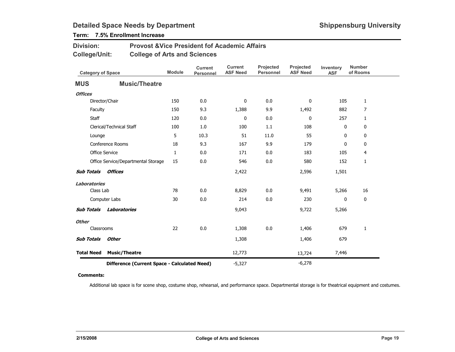## Term: 7.5% Enrollment Increase

| <b>Division:</b> | <b>Provost &amp; Vice President fof Academic Affairs</b> |
|------------------|----------------------------------------------------------|
| College/Unit:    | <b>College of Arts and Sciences</b>                      |

| <b>Category of Space</b> |                                              | <b>Module</b> | <b>Current</b><br><b>Personnel</b> | <b>Current</b><br><b>ASF Need</b> | Projected<br><b>Personnel</b> | Projected<br><b>ASF Need</b> | Inventory<br><b>ASF</b> | <b>Number</b><br>of Rooms |
|--------------------------|----------------------------------------------|---------------|------------------------------------|-----------------------------------|-------------------------------|------------------------------|-------------------------|---------------------------|
| <b>MUS</b>               | <b>Music/Theatre</b>                         |               |                                    |                                   |                               |                              |                         |                           |
| <b>Offices</b>           |                                              |               |                                    |                                   |                               |                              |                         |                           |
|                          | Director/Chair                               | 150           | 0.0                                | 0                                 | 0.0                           | 0                            | 105                     | $\mathbf{1}$              |
| Faculty                  |                                              | 150           | 9.3                                | 1,388                             | 9.9                           | 1,492                        | 882                     | $\overline{7}$            |
| <b>Staff</b>             |                                              | 120           | 0.0                                | 0                                 | 0.0                           | 0                            | 257                     | $\mathbf{1}$              |
|                          | Clerical/Technical Staff                     | 100           | 1.0                                | 100                               | 1.1                           | 108                          | 0                       | 0                         |
| Lounge                   |                                              | 5             | 10.3                               | 51                                | 11.0                          | 55                           | 0                       | 0                         |
|                          | <b>Conference Rooms</b>                      | 18            | 9.3                                | 167                               | 9.9                           | 179                          | 0                       | 0                         |
|                          | <b>Office Service</b>                        | $\mathbf{1}$  | 0.0                                | 171                               | 0.0                           | 183                          | 105                     | 4                         |
|                          | Office Service/Departmental Storage          | 15            | 0.0                                | 546                               | 0.0                           | 580                          | 152                     | 1                         |
| <b>Sub Totals</b>        | <b>Offices</b>                               |               |                                    | 2,422                             |                               | 2,596                        | 1,501                   |                           |
| <b>Laboratories</b>      |                                              |               |                                    |                                   |                               |                              |                         |                           |
| Class Lab                |                                              | 78            | 0.0                                | 8,829                             | 0.0                           | 9,491                        | 5,266                   | 16                        |
|                          | Computer Labs                                | 30            | 0.0                                | 214                               | 0.0                           | 230                          | 0                       | $\pmb{0}$                 |
| <b>Sub Totals</b>        | Laboratories                                 |               |                                    | 9,043                             |                               | 9,722                        | 5,266                   |                           |
| <b>Other</b>             |                                              |               |                                    |                                   |                               |                              |                         |                           |
| Classrooms               |                                              | 22            | 0.0                                | 1,308                             | 0.0                           | 1,406                        | 679                     | 1                         |
| <b>Sub Totals</b>        | <b>Other</b>                                 |               |                                    | 1,308                             |                               | 1,406                        | 679                     |                           |
| <b>Total Need</b>        | <b>Music/Theatre</b>                         |               |                                    | 12,773                            |                               | 13,724                       | 7,446                   |                           |
|                          | Difference (Current Space - Calculated Need) |               |                                    | $-5,327$                          |                               | $-6,278$                     |                         |                           |

#### Comments:

Additional lab space is for scene shop, costume shop, rehearsal, and performance space. Departmental storage is for theatrical equipment and costumes.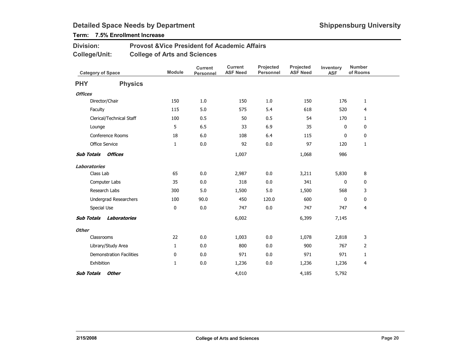## Term: 7.5% Enrollment Increase

| <b>Division:</b> | <b>Provost &amp; Vice President fof Academic Affairs</b> |
|------------------|----------------------------------------------------------|
| College/Unit:    | <b>College of Arts and Sciences</b>                      |

|                     | <b>Category of Space</b>        | <b>Module</b> | <b>Current</b><br><b>Personnel</b> | <b>Current</b><br><b>ASF Need</b> | Projected<br>Personnel | Projected<br><b>ASF Need</b> | Inventory<br><b>ASF</b> | <b>Number</b><br>of Rooms |  |
|---------------------|---------------------------------|---------------|------------------------------------|-----------------------------------|------------------------|------------------------------|-------------------------|---------------------------|--|
| <b>PHY</b>          | <b>Physics</b>                  |               |                                    |                                   |                        |                              |                         |                           |  |
| <b>Offices</b>      |                                 |               |                                    |                                   |                        |                              |                         |                           |  |
|                     | Director/Chair                  | 150           | 1.0                                | 150                               | 1.0                    | 150                          | 176                     | $\mathbf{1}$              |  |
|                     | Faculty                         | 115           | 5.0                                | 575                               | 5.4                    | 618                          | 520                     | $\overline{4}$            |  |
|                     | Clerical/Technical Staff        | 100           | 0.5                                | 50                                | 0.5                    | 54                           | 170                     | $\mathbf{1}$              |  |
|                     | Lounge                          | 5             | 6.5                                | 33                                | 6.9                    | 35                           | 0                       | 0                         |  |
|                     | Conference Rooms                | 18            | 6.0                                | 108                               | 6.4                    | 115                          | 0                       | $\mathbf 0$               |  |
|                     | Office Service                  | 1             | 0.0                                | 92                                | 0.0                    | 97                           | 120                     | $\mathbf{1}$              |  |
| <b>Sub Totals</b>   | Offices                         |               |                                    | 1,007                             |                        | 1,068                        | 986                     |                           |  |
| <b>Laboratories</b> |                                 |               |                                    |                                   |                        |                              |                         |                           |  |
|                     | Class Lab                       | 65            | 0.0                                | 2,987                             | $0.0\,$                | 3,211                        | 5,830                   | 8                         |  |
|                     | Computer Labs                   | 35            | 0.0                                | 318                               | 0.0                    | 341                          | 0                       | 0                         |  |
|                     | Research Labs                   | 300           | 5.0                                | 1,500                             | 5.0                    | 1,500                        | 568                     | 3                         |  |
|                     | Undergrad Researchers           | 100           | 90.0                               | 450                               | 120.0                  | 600                          | 0                       | 0                         |  |
|                     | Special Use                     | 0             | 0.0                                | 747                               | 0.0                    | 747                          | 747                     | 4                         |  |
| <b>Sub Totals</b>   | Laboratories                    |               |                                    | 6,002                             |                        | 6,399                        | 7,145                   |                           |  |
| <b>Other</b>        |                                 |               |                                    |                                   |                        |                              |                         |                           |  |
|                     | Classrooms                      | 22            | $0.0\,$                            | 1,003                             | 0.0                    | 1,078                        | 2,818                   | 3                         |  |
|                     | Library/Study Area              | $\mathbf{1}$  | 0.0                                | 800                               | 0.0                    | 900                          | 767                     | $\overline{2}$            |  |
|                     | <b>Demonstration Facilities</b> | 0             | 0.0                                | 971                               | 0.0                    | 971                          | 971                     | $\mathbf{1}$              |  |
|                     | Exhibition                      | 1             | 0.0                                | 1,236                             | 0.0                    | 1,236                        | 1,236                   | 4                         |  |
| <b>Sub Totals</b>   | Other                           |               |                                    | 4,010                             |                        | 4,185                        | 5,792                   |                           |  |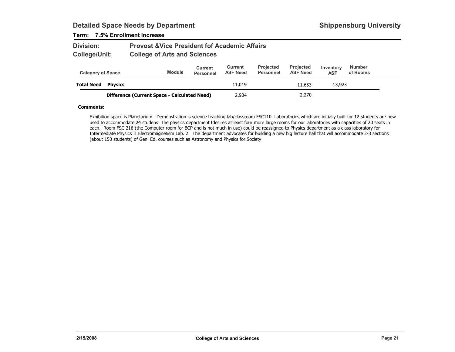### Term: 7.5% Enrollment Increase

| <b>Division:</b> | <b>Provost &amp; Vice President fof Academic Affairs</b> |
|------------------|----------------------------------------------------------|
| College/Unit:    | <b>College of Arts and Sciences</b>                      |

| <b>Category of Space</b> |                                              | <b>Module</b> | Current<br><b>Personnel</b> | Current<br><b>ASF Need</b> | <b>Projected</b><br>Personnel | <b>Projected</b><br><b>ASF Need</b> | Inventory<br><b>ASF</b> | <b>Number</b><br>of Rooms |
|--------------------------|----------------------------------------------|---------------|-----------------------------|----------------------------|-------------------------------|-------------------------------------|-------------------------|---------------------------|
| <b>Total Need</b>        | <b>Physics</b>                               |               |                             | 11,019                     |                               | 11.653                              | 13,923                  |                           |
|                          | Difference (Current Space - Calculated Need) |               |                             | 2,904                      |                               | 2,270                               |                         |                           |

#### Comments:

Exhibition space is Planetarium. Demonstration is science teaching lab/classroom FSC110. Laboratories which are initially built for 12 students are now used to accommodate 24 studens The physics department tdesires at least four more large rooms for our laboratories with capacities of 20 seats in each. Room FSC 216 (the Computer room for BCP and is not much in use) could be reassigned to Physics department as a class laboratory for Intermediate Physics II Electromagnetism Lab. 2. The department advocates for building a new big lecture hall that will accommodate 2-3 sections (about 150 students) of Gen. Ed. courses such as Astronomy and Physics for Society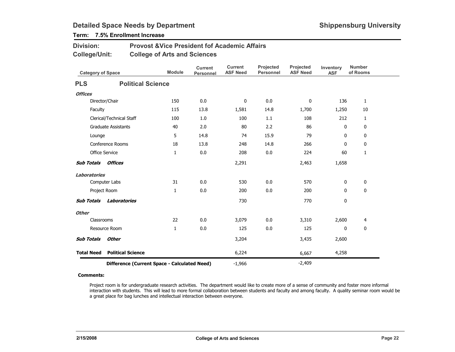## Term: 7.5% Enrollment Increase

| <b>Division:</b> | <b>Provost &amp; Vice President fof Academic Affairs</b> |
|------------------|----------------------------------------------------------|
| College/Unit:    | <b>College of Arts and Sciences</b>                      |

| <b>Category of Space</b> |                                              | <b>Module</b> | <b>Current</b><br><b>Personnel</b> | <b>Current</b><br><b>ASF Need</b> | Projected<br>Personnel | Projected<br><b>ASF Need</b> | Inventory<br><b>ASF</b> | <b>Number</b><br>of Rooms |
|--------------------------|----------------------------------------------|---------------|------------------------------------|-----------------------------------|------------------------|------------------------------|-------------------------|---------------------------|
| <b>PLS</b>               | <b>Political Science</b>                     |               |                                    |                                   |                        |                              |                         |                           |
| <b>Offices</b>           |                                              |               |                                    |                                   |                        |                              |                         |                           |
|                          | Director/Chair                               | 150           | 0.0                                | 0                                 | 0.0                    | 0                            | 136                     | $\mathbf{1}$              |
| Faculty                  |                                              | 115           | 13.8                               | 1,581                             | 14.8                   | 1,700                        | 1,250                   | 10                        |
|                          | Clerical/Technical Staff                     | 100           | 1.0                                | 100                               | 1.1                    | 108                          | 212                     | $\mathbf{1}$              |
|                          | <b>Graduate Assistants</b>                   | 40            | 2.0                                | 80                                | 2.2                    | 86                           | 0                       | 0                         |
| Lounge                   |                                              | 5             | 14.8                               | 74                                | 15.9                   | 79                           | 0                       | 0                         |
|                          | <b>Conference Rooms</b>                      | 18            | 13.8                               | 248                               | 14.8                   | 266                          | $\mathbf{0}$            | 0                         |
|                          | <b>Office Service</b>                        | $\mathbf{1}$  | 0.0                                | 208                               | 0.0                    | 224                          | 60                      | 1                         |
| <b>Sub Totals</b>        | <b>Offices</b>                               |               |                                    | 2,291                             |                        | 2,463                        | 1,658                   |                           |
| <b>Laboratories</b>      |                                              |               |                                    |                                   |                        |                              |                         |                           |
|                          | Computer Labs                                | 31            | 0.0                                | 530                               | 0.0                    | 570                          | 0                       | 0                         |
|                          | Project Room                                 | $\mathbf{1}$  | 0.0                                | 200                               | 0.0                    | 200                          | 0                       | $\mathbf 0$               |
| <b>Sub Totals</b>        | Laboratories                                 |               |                                    | 730                               |                        | 770                          | 0                       |                           |
| <b>Other</b>             |                                              |               |                                    |                                   |                        |                              |                         |                           |
| Classrooms               |                                              | 22            | 0.0                                | 3,079                             | 0.0                    | 3,310                        | 2,600                   | 4                         |
|                          | Resource Room                                | $\mathbf{1}$  | 0.0                                | 125                               | 0.0                    | 125                          | 0                       | $\mathbf 0$               |
| <b>Sub Totals</b>        | <b>Other</b>                                 |               |                                    | 3,204                             |                        | 3,435                        | 2,600                   |                           |
| <b>Total Need</b>        | <b>Political Science</b>                     |               |                                    | 6,224                             |                        | 6,667                        | 4,258                   |                           |
|                          | Difference (Current Space - Calculated Need) |               |                                    | $-1,966$                          |                        | $-2,409$                     |                         |                           |

#### Comments:

Project room is for undergraduate research activities. The department would like to create more of a sense of community and foster more informal interaction with students. This will lead to more formal collaboration between students and faculty and among faculty. A quality seminar room would be a great place for bag lunches and intellectual interaction between everyone.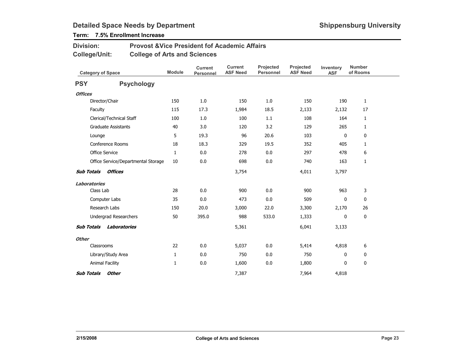## Term: 7.5% Enrollment Increase

| <b>Division:</b> | <b>Provost &amp; Vice President fof Academic Affairs</b> |
|------------------|----------------------------------------------------------|
| College/Unit:    | <b>College of Arts and Sciences</b>                      |

|                     | <b>Category of Space</b>            | <b>Module</b> | <b>Current</b><br><b>Personnel</b> | <b>Current</b><br><b>ASF Need</b> | Projected<br><b>Personnel</b> | Projected<br><b>ASF Need</b> | Inventory<br><b>ASF</b> | <b>Number</b><br>of Rooms |  |
|---------------------|-------------------------------------|---------------|------------------------------------|-----------------------------------|-------------------------------|------------------------------|-------------------------|---------------------------|--|
| <b>PSY</b>          | <b>Psychology</b>                   |               |                                    |                                   |                               |                              |                         |                           |  |
| <b>Offices</b>      |                                     |               |                                    |                                   |                               |                              |                         |                           |  |
|                     | Director/Chair                      | 150           | 1.0                                | 150                               | 1.0                           | 150                          | 190                     | $\mathbf{1}$              |  |
| Faculty             |                                     | 115           | 17.3                               | 1,984                             | 18.5                          | 2,133                        | 2,132                   | 17                        |  |
|                     | Clerical/Technical Staff            | 100           | 1.0                                | 100                               | 1.1                           | 108                          | 164                     | $\mathbf{1}$              |  |
|                     | <b>Graduate Assistants</b>          | 40            | 3.0                                | 120                               | 3.2                           | 129                          | 265                     | $\mathbf{1}$              |  |
| Lounge              |                                     | 5             | 19.3                               | 96                                | 20.6                          | 103                          | 0                       | $\mathbf 0$               |  |
|                     | Conference Rooms                    | 18            | 18.3                               | 329                               | 19.5                          | 352                          | 405                     | $\mathbf{1}$              |  |
|                     | <b>Office Service</b>               | $\mathbf{1}$  | 0.0                                | 278                               | 0.0                           | 297                          | 478                     | 6                         |  |
|                     | Office Service/Departmental Storage | 10            | 0.0                                | 698                               | 0.0                           | 740                          | 163                     | $\mathbf{1}$              |  |
| <b>Sub Totals</b>   | Offices                             |               |                                    | 3,754                             |                               | 4,011                        | 3,797                   |                           |  |
| <b>Laboratories</b> |                                     |               |                                    |                                   |                               |                              |                         |                           |  |
|                     | Class Lab                           | 28            | 0.0                                | 900                               | 0.0                           | 900                          | 963                     | 3                         |  |
|                     | Computer Labs                       | 35            | 0.0                                | 473                               | 0.0                           | 509                          | 0                       | 0                         |  |
|                     | Research Labs                       | 150           | 20.0                               | 3,000                             | 22.0                          | 3,300                        | 2,170                   | 26                        |  |
|                     | Undergrad Researchers               | 50            | 395.0                              | 988                               | 533.0                         | 1,333                        | 0                       | 0                         |  |
| <b>Sub Totals</b>   | Laboratories                        |               |                                    | 5,361                             |                               | 6,041                        | 3,133                   |                           |  |
| <b>Other</b>        |                                     |               |                                    |                                   |                               |                              |                         |                           |  |
|                     | Classrooms                          | 22            | 0.0                                | 5,037                             | 0.0                           | 5,414                        | 4,818                   | 6                         |  |
|                     | Library/Study Area                  | $\mathbf{1}$  | 0.0                                | 750                               | 0.0                           | 750                          | $\mathbf 0$             | 0                         |  |
|                     | <b>Animal Facility</b>              | 1             | 0.0                                | 1,600                             | 0.0                           | 1,800                        | 0                       | 0                         |  |
| <b>Sub Totals</b>   | <b>Other</b>                        |               |                                    | 7,387                             |                               | 7,964                        | 4,818                   |                           |  |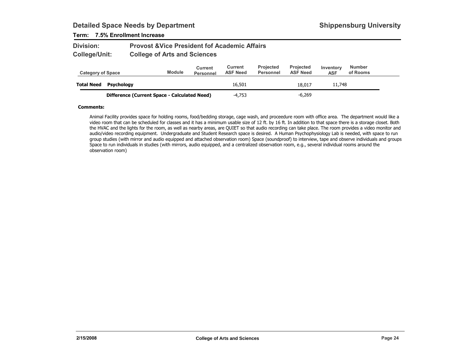### Term: 7.5% Enrollment Increase

| <b>Division:</b>     | <b>Provost &amp; Vice President fof Academic Affairs</b> |
|----------------------|----------------------------------------------------------|
| <b>College/Unit:</b> | <b>College of Arts and Sciences</b>                      |

| <b>Category of Space</b> |                                              | <b>Module</b> | Current<br><b>Personnel</b> | Current<br><b>ASF Need</b> | <b>Projected</b><br>Personnel | <b>Projected</b><br><b>ASF Need</b> | Inventory<br><b>ASF</b> | <b>Number</b><br>of Rooms |
|--------------------------|----------------------------------------------|---------------|-----------------------------|----------------------------|-------------------------------|-------------------------------------|-------------------------|---------------------------|
| <b>Total Need</b>        | Psychology                                   |               |                             | 16,501                     |                               | 18,017                              | 11,748                  |                           |
|                          | Difference (Current Space - Calculated Need) |               |                             | $-4.753$                   |                               | $-6.269$                            |                         |                           |

#### Comments:

Animal Facility provides space for holding rooms, food/bedding storage, cage wash, and proceedure room with office area. The department would like a video room that can be scheduled for classes and it has a minimum usable size of 12 ft. by 16 ft. In addition to that space there is a storage closet. Both the HVAC and the lights for the room, as well as nearby areas, are QUIET so that audio recording can take place. The room provides a video monitor and audio/video recording equipment. Undergraduate and Student Research space is desired. A Human Psychophysiology Lab is needed, with space to run group studies (with mirror and audio equipped and attached observation room) Space (soundproof) to interview, tape and observe individuals and groups Space to run individuals in studies (with mirrors, audio equipped, and a centralized observation room, e.g., several individual rooms around the observation room)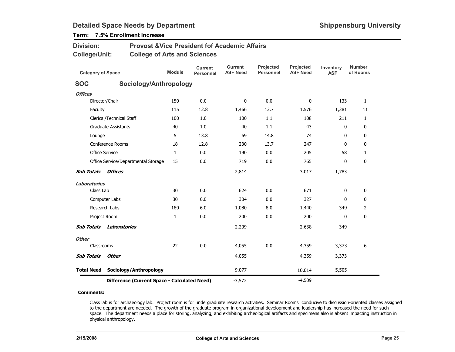## Term: 7.5% Enrollment Increase

| Division:                                        | <b>Provost &amp; Vice President fof Academic Affairs</b> |               |                             |                                   |                               |                              |                         |                           |
|--------------------------------------------------|----------------------------------------------------------|---------------|-----------------------------|-----------------------------------|-------------------------------|------------------------------|-------------------------|---------------------------|
| <b>College/Unit:</b><br><b>Category of Space</b> | <b>College of Arts and Sciences</b>                      | <b>Module</b> | <b>Current</b><br>Personnel | <b>Current</b><br><b>ASF Need</b> | Projected<br><b>Personnel</b> | Projected<br><b>ASF Need</b> | Inventory<br><b>ASF</b> | <b>Number</b><br>of Rooms |
| <b>SOC</b>                                       | Sociology/Anthropology                                   |               |                             |                                   |                               |                              |                         |                           |
| <b>Offices</b>                                   |                                                          |               |                             |                                   |                               |                              |                         |                           |
|                                                  | Director/Chair                                           | 150           | 0.0                         | $\mathbf 0$                       | 0.0                           | 0                            | 133                     | $\mathbf{1}$              |
| Faculty                                          |                                                          | 115           | 12.8                        | 1,466                             | 13.7                          | 1,576                        | 1,381                   | 11                        |
|                                                  | Clerical/Technical Staff                                 | 100           | 1.0                         | 100                               | 1.1                           | 108                          | 211                     | $\mathbf{1}$              |
|                                                  | <b>Graduate Assistants</b>                               | 40            | 1.0                         | 40                                | 1.1                           | 43                           | 0                       | $\mathbf{0}$              |
| Lounge                                           |                                                          | 5             | 13.8                        | 69                                | 14.8                          | 74                           | 0                       | 0                         |
|                                                  | Conference Rooms                                         | 18            | 12.8                        | 230                               | 13.7                          | 247                          | 0                       | 0                         |
|                                                  | Office Service                                           | 1             | 0.0                         | 190                               | 0.0                           | 205                          | 58                      | $\mathbf{1}$              |
|                                                  | Office Service/Departmental Storage                      | 15            | 0.0                         | 719                               | 0.0                           | 765                          | 0                       | 0                         |
| <b>Sub Totals</b>                                | Offices                                                  |               |                             | 2,814                             |                               | 3,017                        | 1,783                   |                           |
| <b>Laboratories</b>                              |                                                          |               |                             |                                   |                               |                              |                         |                           |
| Class Lab                                        |                                                          | 30            | 0.0                         | 624                               | 0.0                           | 671                          | $\mathbf{0}$            | $\mathbf 0$               |
|                                                  | Computer Labs                                            | 30            | 0.0                         | 304                               | 0.0                           | 327                          | 0                       | 0                         |
|                                                  | Research Labs                                            | 180           | 6.0                         | 1,080                             | 8.0                           | 1,440                        | 349                     | $\overline{2}$            |
|                                                  | Project Room                                             | 1             | 0.0                         | 200                               | 0.0                           | 200                          | $\mathbf{0}$            | 0                         |
| <b>Sub Totals</b>                                | Laboratories                                             |               |                             | 2,209                             |                               | 2,638                        | 349                     |                           |
| <b>Other</b>                                     |                                                          |               |                             |                                   |                               |                              |                         |                           |
| Classrooms                                       |                                                          | 22            | 0.0                         | 4,055                             | 0.0                           | 4,359                        | 3,373                   | $\boldsymbol{6}$          |
| <b>Sub Totals</b>                                | <b>Other</b>                                             |               |                             | 4,055                             |                               | 4,359                        | 3,373                   |                           |
| <b>Total Need</b>                                | Sociology/Anthropology                                   |               |                             | 9,077                             |                               | 10,014                       | 5,505                   |                           |
|                                                  | Difference (Current Space - Calculated Need)             |               |                             | $-3,572$                          |                               | $-4,509$                     |                         |                           |

#### Comments:

Class lab is for archaeology lab. Project room is for undergraduate research activities. Seminar Rooms conducive to discussion-oriented classes assigned to the department are needed. The growth of the graduate program in organizational development and leadership has increased the need for such space. The department needs a place for storing, analyzing, and exhibiting archeological artifacts and specimens also is absent impacting instruction in physical anthropology.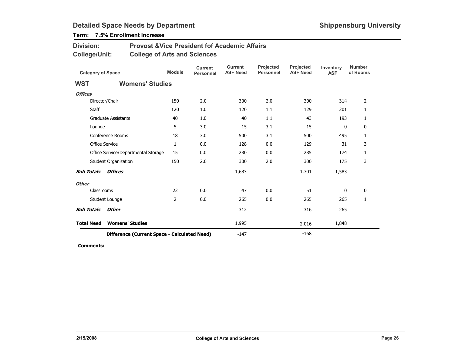## Term: 7.5% Enrollment Increase

| <b>Division:</b> | <b>Provost &amp; Vice President fof Academic Affairs</b> |
|------------------|----------------------------------------------------------|
| College/Unit:    | <b>College of Arts and Sciences</b>                      |

| <b>Category of Space</b> |                                              | <b>Module</b>  | <b>Current</b><br><b>Personnel</b> | <b>Current</b><br><b>ASF Need</b> | Projected<br><b>Personnel</b> | <b>Projected</b><br><b>ASF Need</b> | Inventory<br><b>ASF</b> | <b>Number</b><br>of Rooms |
|--------------------------|----------------------------------------------|----------------|------------------------------------|-----------------------------------|-------------------------------|-------------------------------------|-------------------------|---------------------------|
| <b>WST</b>               | <b>Womens' Studies</b>                       |                |                                    |                                   |                               |                                     |                         |                           |
| <b>Offices</b>           |                                              |                |                                    |                                   |                               |                                     |                         |                           |
|                          | Director/Chair                               | 150            | 2.0                                | 300                               | 2.0                           | 300                                 | 314                     | 2                         |
| Staff                    |                                              | 120            | 1.0                                | 120                               | 1.1                           | 129                                 | 201                     | 1                         |
|                          | <b>Graduate Assistants</b>                   | 40             | 1.0                                | 40                                | 1.1                           | 43                                  | 193                     | 1                         |
| Lounge                   |                                              | 5              | 3.0                                | 15                                | 3.1                           | 15                                  | $\mathbf 0$             | 0                         |
|                          | Conference Rooms                             | 18             | 3.0                                | 500                               | 3.1                           | 500                                 | 495                     | 1                         |
|                          | Office Service                               | 1              | 0.0                                | 128                               | 0.0                           | 129                                 | 31                      | 3                         |
|                          | Office Service/Departmental Storage          | 15             | 0.0                                | 280                               | 0.0                           | 285                                 | 174                     | 1                         |
|                          | <b>Student Organization</b>                  | 150            | 2.0                                | 300                               | 2.0                           | 300                                 | 175                     | 3                         |
| <b>Sub Totals</b>        | <b>Offices</b>                               |                |                                    | 1,683                             |                               | 1,701                               | 1,583                   |                           |
| <b>Other</b>             |                                              |                |                                    |                                   |                               |                                     |                         |                           |
|                          | Classrooms                                   | 22             | 0.0                                | 47                                | 0.0                           | 51                                  | 0                       | 0                         |
|                          | Student Lounge                               | $\overline{2}$ | 0.0                                | 265                               | 0.0                           | 265                                 | 265                     | 1                         |
| <b>Sub Totals</b>        | <b>Other</b>                                 |                |                                    | 312                               |                               | 316                                 | 265                     |                           |
| <b>Total Need</b>        | <b>Womens' Studies</b>                       |                |                                    | 1,995                             |                               | 2,016                               | 1,848                   |                           |
|                          | Difference (Current Space - Calculated Need) |                |                                    | $-147$                            |                               | $-168$                              |                         |                           |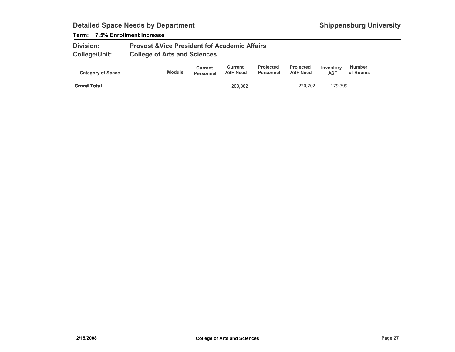### Term: 7.5% Enrollment Increase

| <b>Division:</b>     | <b>Provost &amp; Vice President fof Academic Affairs</b> |
|----------------------|----------------------------------------------------------|
| <b>College/Unit:</b> | <b>College of Arts and Sciences</b>                      |

| <b>Category of Space</b> | <b>Module</b> | Current<br><b>Personnel</b> | Current<br><b>ASF Need</b> | <b>Projected</b><br>Personnel | <b>Projected</b><br><b>ASF Need</b> | Inventory<br><b>ASF</b> | <b>Number</b><br>of Rooms |  |
|--------------------------|---------------|-----------------------------|----------------------------|-------------------------------|-------------------------------------|-------------------------|---------------------------|--|
| <b>Grand Total</b>       |               |                             | 203,882                    |                               | 220,702                             | 179,399                 |                           |  |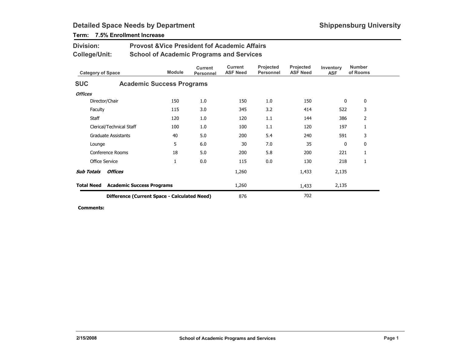| Division:<br><b>College/Unit:</b> |                            | <b>Provost &amp; Vice President fof Academic Affairs</b><br><b>School of Academic Programs and Services</b> |                                    |                                   |                               |                              |                         |                           |  |  |
|-----------------------------------|----------------------------|-------------------------------------------------------------------------------------------------------------|------------------------------------|-----------------------------------|-------------------------------|------------------------------|-------------------------|---------------------------|--|--|
|                                   | <b>Category of Space</b>   | <b>Module</b>                                                                                               | <b>Current</b><br><b>Personnel</b> | <b>Current</b><br><b>ASF Need</b> | Projected<br><b>Personnel</b> | Projected<br><b>ASF Need</b> | Inventory<br><b>ASF</b> | <b>Number</b><br>of Rooms |  |  |
| <b>SUC</b>                        |                            | <b>Academic Success Programs</b>                                                                            |                                    |                                   |                               |                              |                         |                           |  |  |
| <b>Offices</b>                    |                            |                                                                                                             |                                    |                                   |                               |                              |                         |                           |  |  |
|                                   | Director/Chair             | 150                                                                                                         | 1.0                                | 150                               | 1.0                           | 150                          | 0                       | 0                         |  |  |
| Faculty                           |                            | 115                                                                                                         | 3.0                                | 345                               | 3.2                           | 414                          | 522                     | 3                         |  |  |
| Staff                             |                            | 120                                                                                                         | 1.0                                | 120                               | 1.1                           | 144                          | 386                     | $\overline{2}$            |  |  |
|                                   | Clerical/Technical Staff   | 100                                                                                                         | 1.0                                | 100                               | 1.1                           | 120                          | 197                     | 1                         |  |  |
|                                   | <b>Graduate Assistants</b> | 40                                                                                                          | 5.0                                | 200                               | 5.4                           | 240                          | 591                     | 3                         |  |  |
| Lounge                            |                            | 5                                                                                                           | 6.0                                | 30                                | 7.0                           | 35                           | 0                       | 0                         |  |  |
|                                   | Conference Rooms           | 18                                                                                                          | 5.0                                | 200                               | 5.8                           | 200                          | 221                     | 1                         |  |  |
|                                   | <b>Office Service</b>      | 1                                                                                                           | 0.0                                | 115                               | 0.0                           | 130                          | 218                     | 1                         |  |  |
| <b>Sub Totals</b>                 | <b>Offices</b>             |                                                                                                             |                                    | 1,260                             |                               | 1,433                        | 2,135                   |                           |  |  |
| <b>Total Need</b>                 |                            | <b>Academic Success Programs</b>                                                                            | 1,260                              |                                   | 1,433                         | 2,135                        |                         |                           |  |  |
|                                   |                            | Difference (Current Space - Calculated Need)                                                                | 876                                |                                   | 702                           |                              |                         |                           |  |  |

## Term: 7.5% Enrollment Increase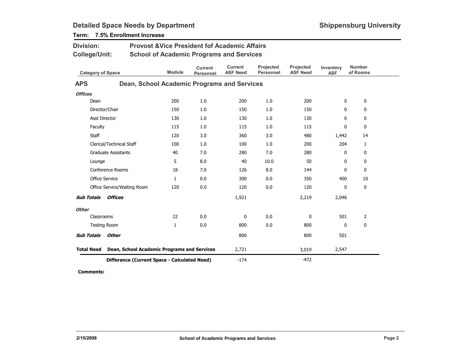| <b>Division:</b><br><b>Provost &amp; Vice President fof Academic Affairs</b> |                                              |                                                 |                                    |                                   |                               |                              |                         |                           |  |
|------------------------------------------------------------------------------|----------------------------------------------|-------------------------------------------------|------------------------------------|-----------------------------------|-------------------------------|------------------------------|-------------------------|---------------------------|--|
| <b>College/Unit:</b>                                                         |                                              | <b>School of Academic Programs and Services</b> |                                    |                                   |                               |                              |                         |                           |  |
| <b>Category of Space</b>                                                     |                                              | <b>Module</b>                                   | <b>Current</b><br><b>Personnel</b> | <b>Current</b><br><b>ASF Need</b> | Projected<br><b>Personnel</b> | Projected<br><b>ASF Need</b> | Inventory<br><b>ASF</b> | <b>Number</b><br>of Rooms |  |
| <b>APS</b>                                                                   |                                              | Dean, School Academic Programs and Services     |                                    |                                   |                               |                              |                         |                           |  |
| <b>Offices</b>                                                               |                                              |                                                 |                                    |                                   |                               |                              |                         |                           |  |
| Dean                                                                         |                                              | 200                                             | 1.0                                | 200                               | 1.0                           | 200                          | 0                       | 0                         |  |
| Director/Chair                                                               |                                              | 150                                             | 1.0                                | 150                               | 1.0                           | 150                          | 0                       | 0                         |  |
| <b>Asst Director</b>                                                         |                                              | 130                                             | 1.0                                | 130                               | 1.0                           | 130                          | 0                       | $\mathbf 0$               |  |
| Faculty                                                                      |                                              | 115                                             | 1.0                                | 115                               | 1.0                           | 115                          | 0                       | $\mathbf 0$               |  |
| Staff                                                                        |                                              | 120                                             | 3.0                                | 360                               | 3.0                           | 480                          | 1,442                   | 14                        |  |
|                                                                              | Clerical/Technical Staff                     | 100                                             | 1.0                                | 100                               | 1.0                           | 200                          | 204                     | $\mathbf{1}$              |  |
|                                                                              | <b>Graduate Assistants</b>                   | 40                                              | 7.0                                | 280                               | 7.0                           | 280                          | $\mathbf 0$             | $\mathbf 0$               |  |
| Lounge                                                                       |                                              | 5                                               | 8.0                                | 40                                | 10.0                          | 50                           | 0                       | 0                         |  |
|                                                                              | Conference Rooms                             | 18                                              | 7.0                                | 126                               | 8.0                           | 144                          | 0                       | 0                         |  |
| Office Service                                                               |                                              | $\mathbf{1}$                                    | 0.0                                | 300                               | 0.0                           | 350                          | 400                     | 10                        |  |
|                                                                              | Office Service/Waiting Room                  | 120                                             | 0.0                                | 120                               | 0.0                           | 120                          | 0                       | $\mathbf 0$               |  |
| <b>Sub Totals</b>                                                            | <b>Offices</b>                               |                                                 |                                    | 1,921                             |                               | 2,219                        | 2,046                   |                           |  |
| <b>Other</b>                                                                 |                                              |                                                 |                                    |                                   |                               |                              |                         |                           |  |
| Classrooms                                                                   |                                              | 22                                              | 0.0                                | $\mathbf 0$                       | 0.0                           | 0                            | 501                     | $\overline{2}$            |  |
| <b>Testing Room</b>                                                          |                                              | 1                                               | 0.0                                | 800                               | 0.0                           | 800                          | 0                       | 0                         |  |
| <b>Sub Totals</b>                                                            | <b>Other</b>                                 |                                                 |                                    | 800                               |                               | 800                          | 501                     |                           |  |
| <b>Total Need</b>                                                            | Dean, School Academic Programs and Services  |                                                 |                                    | 2,721                             |                               | 3,019                        | 2,547                   |                           |  |
|                                                                              | Difference (Current Space - Calculated Need) |                                                 |                                    | $-174$                            |                               | $-472$                       |                         |                           |  |

## Term: 7.5% Enrollment Increase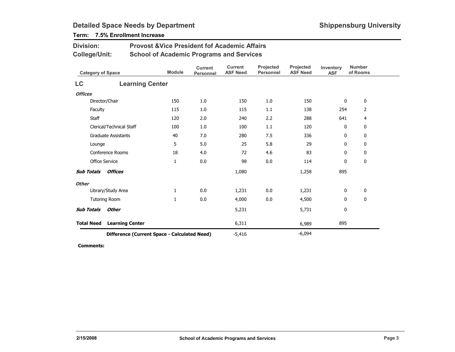## Term: 7.5% Enrollment Increase

Division:

| <b>College/Unit:</b>                         |                            | <b>School of Academic Programs and Services</b> |                             |                                   |                               |                              |                         |                           |
|----------------------------------------------|----------------------------|-------------------------------------------------|-----------------------------|-----------------------------------|-------------------------------|------------------------------|-------------------------|---------------------------|
|                                              | <b>Category of Space</b>   | <b>Module</b>                                   | <b>Current</b><br>Personnel | <b>Current</b><br><b>ASF Need</b> | Projected<br><b>Personnel</b> | Projected<br><b>ASF Need</b> | Inventory<br><b>ASF</b> | <b>Number</b><br>of Rooms |
| LC                                           | <b>Learning Center</b>     |                                                 |                             |                                   |                               |                              |                         |                           |
| <b>Offices</b>                               |                            |                                                 |                             |                                   |                               |                              |                         |                           |
|                                              | Director/Chair             |                                                 | 1.0                         | 150                               | 1.0                           | 150                          | 0                       | 0                         |
| Faculty                                      |                            | 115                                             | 1.0                         | 115                               | 1.1                           | 138                          | 254                     | $\overline{2}$            |
| Staff                                        |                            | 120                                             | 2.0                         | 240                               | 2.2                           | 288                          | 641                     | $\overline{4}$            |
|                                              | Clerical/Technical Staff   | 100                                             | 1.0                         | 100                               | 1.1                           | 120                          | 0                       | 0                         |
|                                              | <b>Graduate Assistants</b> | 40                                              | 7.0                         | 280                               | 7.5                           | 336                          | 0                       | 0                         |
| Lounge                                       |                            | 5                                               | 5.0                         | 25                                | 5.8                           | 29                           | 0                       | 0                         |
|                                              | <b>Conference Rooms</b>    | 18                                              | 4.0                         | 72                                | 4.6                           | 83                           | 0                       | 0                         |
|                                              | <b>Office Service</b>      | $\mathbf{1}$                                    | 0.0                         | 98                                | 0.0                           | 114                          | $\mathbf{0}$            | $\bf{0}$                  |
| <b>Sub Totals</b>                            | <b>Offices</b>             |                                                 |                             | 1,080                             |                               | 1,258                        | 895                     |                           |
| <b>Other</b>                                 |                            |                                                 |                             |                                   |                               |                              |                         |                           |
|                                              | Library/Study Area         | 1                                               | 0.0                         | 1,231                             | 0.0                           | 1,231                        | 0                       | $\bf{0}$                  |
|                                              | <b>Tutoring Room</b>       | 1                                               | 0.0                         | 4,000                             | 0.0                           | 4,500                        | 0                       | 0                         |
| <b>Sub Totals</b>                            | <b>Other</b>               |                                                 |                             | 5,231                             |                               | 5,731                        | 0                       |                           |
| <b>Total Need</b>                            | <b>Learning Center</b>     |                                                 |                             | 6,311                             |                               | 6,989                        | 895                     |                           |
| Difference (Current Space - Calculated Need) |                            |                                                 |                             | $-5,416$                          |                               | $-6,094$                     |                         |                           |

Provost &Vice President fof Academic Affairs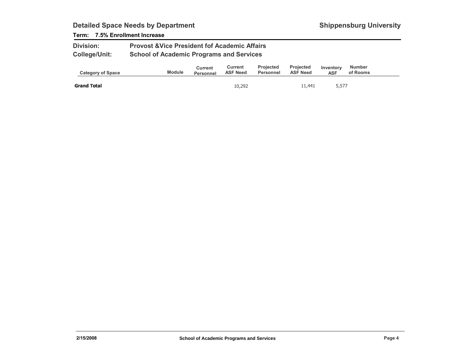### Term: 7.5% Enrollment Increase

| <b>Division:</b>     | <b>Provost &amp; Vice President fof Academic Affairs</b> |
|----------------------|----------------------------------------------------------|
| <b>College/Unit:</b> | <b>School of Academic Programs and Services</b>          |

| <b>Category of Space</b> | <b>Module</b> | Current<br><b>Personnel</b> | Current<br><b>ASF Need</b> | <b>Projected</b><br>Personnel | <b>Projected</b><br><b>ASF Need</b> | Inventory<br><b>ASF</b> | <b>Number</b><br>of Rooms |  |
|--------------------------|---------------|-----------------------------|----------------------------|-------------------------------|-------------------------------------|-------------------------|---------------------------|--|
| <b>Grand Total</b>       |               |                             | 10,292                     |                               | 11,441                              | 5,577                   |                           |  |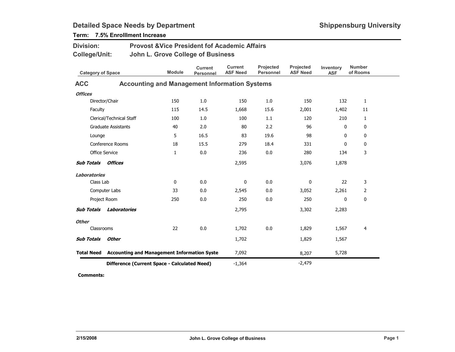| <b>Division:</b>         |                                | <b>Provost &amp; Vice President fof Academic Affairs</b>      |                                    |                                   |                               |                              |                         |                           |
|--------------------------|--------------------------------|---------------------------------------------------------------|------------------------------------|-----------------------------------|-------------------------------|------------------------------|-------------------------|---------------------------|
| <b>College/Unit:</b>     |                                | John L. Grove College of Business                             |                                    |                                   |                               |                              |                         |                           |
| <b>Category of Space</b> |                                | <b>Module</b>                                                 | <b>Current</b><br><b>Personnel</b> | <b>Current</b><br><b>ASF Need</b> | Projected<br><b>Personnel</b> | Projected<br><b>ASF Need</b> | Inventory<br><b>ASF</b> | <b>Number</b><br>of Rooms |
| <b>ACC</b>               |                                | <b>Accounting and Management Information Systems</b>          |                                    |                                   |                               |                              |                         |                           |
| <b>Offices</b>           |                                |                                                               |                                    |                                   |                               |                              |                         |                           |
|                          | Director/Chair                 | 150                                                           | 1.0                                | 150                               | 1.0                           | 150                          | 132                     | $\mathbf{1}$              |
| Faculty                  |                                | 115                                                           | 14.5                               | 1,668                             | 15.6                          | 2,001                        | 1,402                   | 11                        |
|                          | Clerical/Technical Staff       | 100                                                           | 1.0                                | 100                               | 1.1                           | 120                          | 210                     | $\mathbf{1}$              |
|                          | <b>Graduate Assistants</b>     | 40                                                            | 2.0                                | 80                                | 2.2                           | 96                           | 0                       | $\mathbf 0$               |
| Lounge                   |                                | 5                                                             | 16.5                               | 83                                | 19.6                          | 98                           | $\mathbf 0$             | 0                         |
|                          | Conference Rooms               | 18                                                            | 15.5                               | 279                               | 18.4                          | 331                          | 0                       | 0                         |
|                          | <b>Office Service</b>          | $\mathbf{1}$                                                  | 0.0                                | 236                               | 0.0                           | 280                          | 134                     | 3                         |
| <b>Sub Totals</b>        | Offices                        |                                                               |                                    | 2,595                             |                               | 3,076                        | 1,878                   |                           |
| <b>Laboratories</b>      |                                |                                                               |                                    |                                   |                               |                              |                         |                           |
| Class Lab                |                                | 0                                                             | 0.0                                | 0                                 | 0.0                           | 0                            | 22                      | 3                         |
|                          | Computer Labs                  | 33                                                            | 0.0                                | 2,545                             | 0.0                           | 3,052                        | 2,261                   | 2                         |
|                          | Project Room                   | 250                                                           | 0.0                                | 250                               | 0.0                           | 250                          | 0                       | $\bf{0}$                  |
|                          | <b>Sub Totals Laboratories</b> |                                                               |                                    | 2,795                             |                               | 3,302                        | 2,283                   |                           |
| <b>Other</b>             |                                |                                                               |                                    |                                   |                               |                              |                         |                           |
| Classrooms               |                                | 22                                                            | 0.0                                | 1,702                             | 0.0                           | 1,829                        | 1,567                   | 4                         |
| <b>Sub Totals</b>        | <b>Other</b>                   |                                                               |                                    | 1,702                             |                               | 1,829                        | 1,567                   |                           |
|                          |                                | <b>Total Need</b> Accounting and Management Information Syste |                                    | 7,092                             |                               | 8,207                        | 5,728                   |                           |
|                          |                                | Difference (Current Space - Calculated Need)                  |                                    | $-1,364$                          |                               | $-2,479$                     |                         |                           |

Term: 7.5% Enrolllment Increase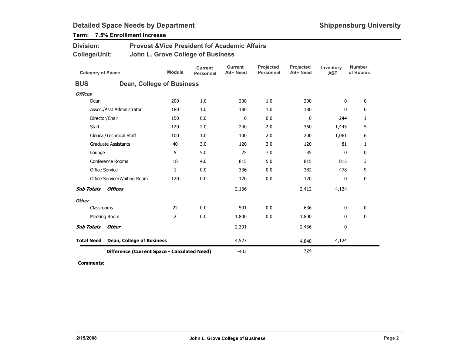| <b>Division:</b><br><b>College/Unit:</b> |                                              | <b>Provost &amp; Vice President fof Academic Affairs</b><br>John L. Grove College of Business |                                    |                                   |                               |                              |                         |                           |  |  |  |  |
|------------------------------------------|----------------------------------------------|-----------------------------------------------------------------------------------------------|------------------------------------|-----------------------------------|-------------------------------|------------------------------|-------------------------|---------------------------|--|--|--|--|
| <b>Category of Space</b>                 |                                              | <b>Module</b>                                                                                 | <b>Current</b><br><b>Personnel</b> | <b>Current</b><br><b>ASF Need</b> | Projected<br><b>Personnel</b> | Projected<br><b>ASF Need</b> | Inventory<br><b>ASF</b> | <b>Number</b><br>of Rooms |  |  |  |  |
| <b>BUS</b>                               |                                              | <b>Dean, College of Business</b>                                                              |                                    |                                   |                               |                              |                         |                           |  |  |  |  |
| <b>Offices</b>                           |                                              |                                                                                               |                                    |                                   |                               |                              |                         |                           |  |  |  |  |
| Dean                                     |                                              |                                                                                               | 1.0                                | 200                               | 1.0                           | 200                          | 0                       | 0                         |  |  |  |  |
| Assoc./Asst Administrator                |                                              | 180                                                                                           | 1.0                                | 180                               | 1.0                           | 180                          | 0                       | 0                         |  |  |  |  |
| Director/Chair<br>150                    |                                              |                                                                                               | 0.0                                | 0                                 | 0.0                           | 0                            | 244                     | $\mathbf{1}$              |  |  |  |  |
| <b>Staff</b><br>120                      |                                              |                                                                                               | 2.0                                | 240                               | 2.0                           | 360                          | 1,445                   | 5                         |  |  |  |  |
|                                          | Clerical/Technical Staff<br>100              |                                                                                               | 1.0                                | 100                               | 2.0                           | 200                          | 1,061                   | 6                         |  |  |  |  |
|                                          | <b>Graduate Assistants</b><br>40             |                                                                                               | 3.0                                | 120                               | 3.0                           | 120                          | 81                      | 1                         |  |  |  |  |
| Lounge                                   |                                              | 5                                                                                             | 5.0                                | 25                                | 7.0                           | 35                           | 0                       | 0                         |  |  |  |  |
|                                          | Conference Rooms                             | 18                                                                                            | 4.0                                | 815                               | 5.0                           | 815                          | 815                     | 3                         |  |  |  |  |
| <b>Office Service</b>                    |                                              | $\mathbf{1}$                                                                                  | 0.0                                | 336                               | 0.0                           | 382                          | 478                     | 9                         |  |  |  |  |
|                                          | Office Service/Waiting Room                  | 120                                                                                           | 0.0                                | 120                               | 0.0                           | 120                          | 0                       | 0                         |  |  |  |  |
| <b>Sub Totals</b>                        | Offices                                      |                                                                                               |                                    | 2,136                             |                               | 2,412                        | 4,124                   |                           |  |  |  |  |
| <b>Other</b>                             |                                              |                                                                                               |                                    |                                   |                               |                              |                         |                           |  |  |  |  |
| Classrooms                               |                                              | 22                                                                                            | 0.0                                | 591                               | 0.0                           | 636                          | 0                       | 0                         |  |  |  |  |
|                                          | $\overline{2}$<br>Meeting Room               |                                                                                               | 0.0                                | 1,800                             | 0.0                           | 1,800                        | 0                       | 0                         |  |  |  |  |
| <b>Sub Totals</b>                        | Other                                        |                                                                                               |                                    | 2,391                             |                               | 2,436                        | 0                       |                           |  |  |  |  |
| <b>Total Need</b>                        |                                              | <b>Dean, College of Business</b>                                                              |                                    | 4,527                             |                               | 4,848                        | 4,124                   |                           |  |  |  |  |
|                                          | Difference (Current Space - Calculated Need) |                                                                                               |                                    |                                   |                               | $-724$                       |                         |                           |  |  |  |  |

## Term: 7.5% Enrolllment Increase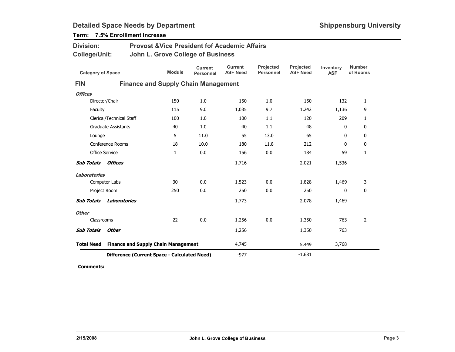| Division:<br>College/Unit:                                      |                       | <b>Provost &amp; Vice President fof Academic Affairs</b><br>John L. Grove College of Business |                                    |                                   |                               |                              |                         |                           |  |  |
|-----------------------------------------------------------------|-----------------------|-----------------------------------------------------------------------------------------------|------------------------------------|-----------------------------------|-------------------------------|------------------------------|-------------------------|---------------------------|--|--|
| <b>Category of Space</b>                                        |                       | <b>Module</b>                                                                                 | <b>Current</b><br><b>Personnel</b> | <b>Current</b><br><b>ASF Need</b> | Projected<br><b>Personnel</b> | Projected<br><b>ASF Need</b> | Inventory<br><b>ASF</b> | <b>Number</b><br>of Rooms |  |  |
| <b>FIN</b>                                                      |                       | <b>Finance and Supply Chain Management</b>                                                    |                                    |                                   |                               |                              |                         |                           |  |  |
| <b>Offices</b>                                                  |                       |                                                                                               |                                    |                                   |                               |                              |                         |                           |  |  |
| 150<br>Director/Chair                                           |                       |                                                                                               | 1.0                                | 150                               | 1.0                           | 150                          | 132                     | $\mathbf{1}$              |  |  |
| Faculty                                                         |                       | 115                                                                                           | 9.0                                | 1,035                             | 9.7                           | 1,242                        | 1,136                   | 9                         |  |  |
| Clerical/Technical Staff<br>100                                 |                       | 1.0                                                                                           | 100                                | 1.1                               | 120                           | 209                          | $\mathbf{1}$            |                           |  |  |
| <b>Graduate Assistants</b><br>40                                |                       | 1.0                                                                                           | 40                                 | 1.1                               | 48                            | 0                            | 0                       |                           |  |  |
| 5<br>Lounge                                                     |                       | 11.0                                                                                          | 55                                 | 13.0                              | 65                            | 0                            | $\mathbf 0$             |                           |  |  |
| <b>Conference Rooms</b><br>18                                   |                       | 10.0                                                                                          | 180                                | 11.8                              | 212                           | $\mathbf 0$                  | 0                       |                           |  |  |
|                                                                 | <b>Office Service</b> | 1                                                                                             | 0.0                                | 156                               | 0.0                           | 184                          | 59                      | 1                         |  |  |
| <b>Sub Totals</b>                                               | Offices               |                                                                                               |                                    | 1,716                             |                               | 2,021                        | 1,536                   |                           |  |  |
| <b>Laboratories</b>                                             |                       |                                                                                               |                                    |                                   |                               |                              |                         |                           |  |  |
|                                                                 | Computer Labs         | 30                                                                                            | 0.0                                | 1,523                             | 0.0                           | 1,828                        | 1,469                   | 3                         |  |  |
|                                                                 | Project Room          | 250                                                                                           | 0.0                                | 250                               | 0.0                           | 250                          | $\mathbf 0$             | 0                         |  |  |
| <b>Sub Totals</b>                                               | Laboratories          |                                                                                               |                                    | 1,773                             |                               | 2,078                        | 1,469                   |                           |  |  |
| <b>Other</b>                                                    |                       |                                                                                               |                                    |                                   |                               |                              |                         |                           |  |  |
| Classrooms                                                      |                       | 22                                                                                            | 0.0                                | 1,256                             | 0.0                           | 1,350                        | 763                     | 2                         |  |  |
| <b>Sub Totals</b>                                               | Other                 |                                                                                               |                                    | 1,256                             |                               | 1,350                        | 763                     |                           |  |  |
| <b>Finance and Supply Chain Management</b><br><b>Total Need</b> |                       |                                                                                               | 4,745                              |                                   | 5,449                         | 3,768                        |                         |                           |  |  |
|                                                                 |                       | Difference (Current Space - Calculated Need)                                                  | $-977$                             |                                   | $-1,681$                      |                              |                         |                           |  |  |

Term: 7.5% Enrolllment Increase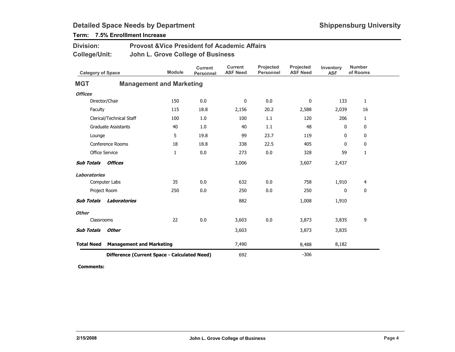| <b>Division:</b><br>College/Unit:            |                       | <b>Provost &amp; Vice President fof Academic Affairs</b><br>John L. Grove College of Business |                             |                                   |                               |                              |                         |                           |
|----------------------------------------------|-----------------------|-----------------------------------------------------------------------------------------------|-----------------------------|-----------------------------------|-------------------------------|------------------------------|-------------------------|---------------------------|
| <b>Category of Space</b>                     |                       | <b>Module</b>                                                                                 | <b>Current</b><br>Personnel | <b>Current</b><br><b>ASF Need</b> | Projected<br><b>Personnel</b> | Projected<br><b>ASF Need</b> | Inventory<br><b>ASF</b> | <b>Number</b><br>of Rooms |
| <b>MGT</b>                                   |                       | <b>Management and Marketing</b>                                                               |                             |                                   |                               |                              |                         |                           |
| <b>Offices</b>                               |                       |                                                                                               |                             |                                   |                               |                              |                         |                           |
|                                              | Director/Chair        | 150                                                                                           | 0.0                         | $\mathbf 0$                       | 0.0                           | 0                            | 133                     | $\mathbf{1}$              |
| Faculty                                      |                       | 115                                                                                           | 18.8                        | 2,156                             | 20.2                          | 2,588                        | 2,039                   | 16                        |
| Clerical/Technical Staff<br>100              |                       | 1.0                                                                                           | 100                         | 1.1                               | 120                           | 206                          | $\mathbf{1}$            |                           |
| <b>Graduate Assistants</b><br>40             |                       | 1.0                                                                                           | 40                          | 1.1                               | 48                            | 0                            | 0                       |                           |
| 5<br>Lounge                                  |                       | 19.8                                                                                          | 99                          | 23.7                              | 119                           | 0                            | $\mathbf 0$             |                           |
| Conference Rooms<br>18                       |                       | 18.8                                                                                          | 338                         | 22.5                              | 405                           | $\mathbf 0$                  | $\mathbf 0$             |                           |
|                                              | <b>Office Service</b> | $\mathbf{1}$                                                                                  | 0.0                         | 273                               | 0.0                           | 328                          | 59                      | 1                         |
| <b>Sub Totals</b>                            | Offices               |                                                                                               |                             | 3,006                             |                               | 3,607                        | 2,437                   |                           |
| <b>Laboratories</b>                          |                       |                                                                                               |                             |                                   |                               |                              |                         |                           |
|                                              | Computer Labs         | 35                                                                                            | 0.0                         | 632                               | 0.0                           | 758                          | 1,910                   | $\overline{4}$            |
|                                              | Project Room          | 250                                                                                           | 0.0                         | 250                               | 0.0                           | 250                          | 0                       | $\mathbf{0}$              |
| <b>Sub Totals</b>                            | Laboratories          |                                                                                               |                             | 882                               |                               | 1,008                        | 1,910                   |                           |
| <b>Other</b>                                 |                       |                                                                                               |                             |                                   |                               |                              |                         |                           |
| Classrooms                                   |                       | 22                                                                                            | 0.0                         | 3,603                             | 0.0                           | 3,873                        | 3,835                   | 9                         |
| <b>Sub Totals</b>                            | <b>Other</b>          |                                                                                               |                             | 3,603                             |                               | 3,873                        | 3,835                   |                           |
| <b>Total Need</b>                            |                       | <b>Management and Marketing</b>                                                               |                             | 7,490                             |                               | 8,488                        | 8,182                   |                           |
| Difference (Current Space - Calculated Need) |                       |                                                                                               |                             | 692                               |                               | $-306$                       |                         |                           |

## Term: 7.5% Enrolllment Increase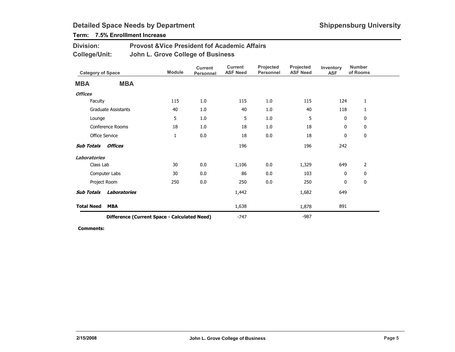## Term: 7.5% Enrolllment Increase

| <b>Division:</b> | <b>Provost &amp; Vice President fof Academic Affairs</b> |
|------------------|----------------------------------------------------------|
| College/Unit:    | John L. Grove College of Business                        |

|                                              | <b>Category of Space</b> |              | <b>Current</b><br><b>Personnel</b> | <b>Current</b><br><b>ASF Need</b> | Projected<br><b>Personnel</b> | Projected<br><b>ASF Need</b> | Inventory<br><b>ASF</b> | <b>Number</b><br>of Rooms |
|----------------------------------------------|--------------------------|--------------|------------------------------------|-----------------------------------|-------------------------------|------------------------------|-------------------------|---------------------------|
| <b>MBA</b>                                   | <b>MBA</b>               |              |                                    |                                   |                               |                              |                         |                           |
| <b>Offices</b>                               |                          |              |                                    |                                   |                               |                              |                         |                           |
| Faculty                                      |                          | 115          | 1.0                                | 115                               | 1.0                           | 115                          | 124                     | $\mathbf{1}$              |
|                                              | Graduate Assistants      | 40           | 1.0                                | 40                                | 1.0                           | 40                           | 118                     | 1                         |
| Lounge                                       |                          | 5            | 1.0                                | 5                                 | 1.0                           | 5                            | 0                       | 0                         |
|                                              | Conference Rooms         | 18           | 1.0                                | 18                                | 1.0                           | 18                           | 0                       | 0                         |
|                                              | <b>Office Service</b>    | $\mathbf{1}$ | 0.0                                | 18                                | 0.0                           | 18                           | 0                       | 0                         |
| <b>Sub Totals Offices</b>                    |                          |              |                                    | 196                               |                               | 196                          | 242                     |                           |
| Laboratories                                 |                          |              |                                    |                                   |                               |                              |                         |                           |
| Class Lab                                    |                          | 30           | 0.0                                | 1,106                             | 0.0                           | 1,329                        | 649                     | 2                         |
|                                              | Computer Labs            | 30           | 0.0                                | 86                                | 0.0                           | 103                          | 0                       | 0                         |
|                                              | Project Room             | 250          | 0.0                                | 250                               | 0.0                           | 250                          | 0                       | $\mathbf 0$               |
| <b>Sub Totals</b>                            | Laboratories             |              |                                    | 1,442                             |                               | 1,682                        | 649                     |                           |
| <b>Total Need</b>                            | <b>MBA</b>               |              |                                    | 1,638                             |                               | 1,878                        | 891                     |                           |
| Difference (Current Space - Calculated Need) |                          |              |                                    | $-747$                            |                               | $-987$                       |                         |                           |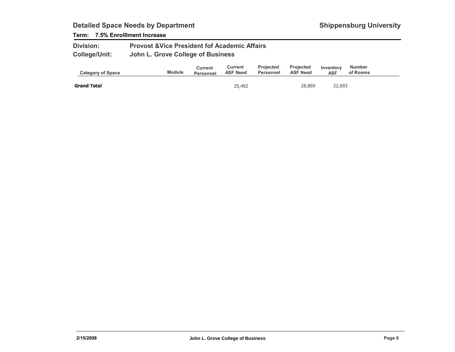### Term: 7.5% Enrolllment Increase

| <b>Division:</b>     | <b>Provost &amp; Vice President fof Academic Affairs</b> |
|----------------------|----------------------------------------------------------|
| <b>College/Unit:</b> | John L. Grove College of Business                        |

| <b>Category of Space</b> | <b>Module</b> | Current<br>Personnel | Current<br><b>ASF Need</b> | <b>Projected</b><br>Personnel | <b>Projected</b><br><b>ASF Need</b> | Inventory<br>ASF | <b>Number</b><br>of Rooms |  |
|--------------------------|---------------|----------------------|----------------------------|-------------------------------|-------------------------------------|------------------|---------------------------|--|
| <b>Grand Total</b>       |               |                      | 25,492                     |                               | 28,869                              | 22,693           |                           |  |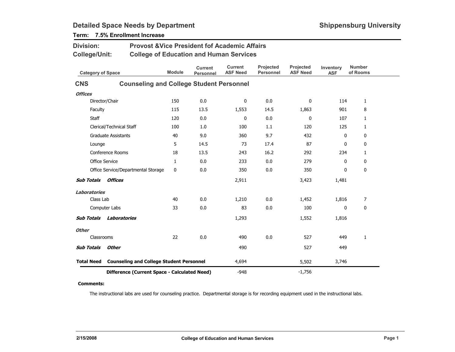| <b>Division:</b>                                                     |                                                 | <b>Provost &amp; Vice President fof Academic Affairs</b> |                                    |                                   |                               |                              |                         |                           |
|----------------------------------------------------------------------|-------------------------------------------------|----------------------------------------------------------|------------------------------------|-----------------------------------|-------------------------------|------------------------------|-------------------------|---------------------------|
| <b>College/Unit:</b>                                                 |                                                 | <b>College of Education and Human Services</b>           |                                    |                                   |                               |                              |                         |                           |
| <b>Category of Space</b>                                             |                                                 | <b>Module</b>                                            | <b>Current</b><br><b>Personnel</b> | <b>Current</b><br><b>ASF Need</b> | Projected<br><b>Personnel</b> | Projected<br><b>ASF Need</b> | Inventory<br><b>ASF</b> | <b>Number</b><br>of Rooms |
| <b>CNS</b>                                                           | <b>Counseling and College Student Personnel</b> |                                                          |                                    |                                   |                               |                              |                         |                           |
| <b>Offices</b>                                                       |                                                 |                                                          |                                    |                                   |                               |                              |                         |                           |
|                                                                      | Director/Chair                                  | 150                                                      | 0.0                                | $\mathbf 0$                       | 0.0                           | 0                            | 114                     | $\mathbf{1}$              |
| Faculty                                                              |                                                 | 115                                                      | 13.5                               | 1,553                             | 14.5                          | 1,863                        | 901                     | 8                         |
| Staff                                                                |                                                 | 120                                                      | 0.0                                | 0                                 | 0.0                           | 0                            | 107                     | 1                         |
|                                                                      | Clerical/Technical Staff                        | 100                                                      | 1.0                                | 100                               | 1.1                           | 120                          | 125                     | 1                         |
|                                                                      | <b>Graduate Assistants</b>                      | 40                                                       | 9.0                                | 360                               | 9.7                           | 432                          | 0                       | 0                         |
| Lounge                                                               |                                                 | 5                                                        | 14.5                               | 73                                | 17.4                          | 87                           | $\mathbf{0}$            | 0                         |
|                                                                      | <b>Conference Rooms</b>                         | 18                                                       | 13.5                               | 243                               | 16.2                          | 292                          | 234                     | 1                         |
|                                                                      | <b>Office Service</b>                           | $\mathbf{1}$                                             | 0.0                                | 233                               | 0.0                           | 279                          | 0                       | 0                         |
|                                                                      | Office Service/Departmental Storage             | 0                                                        | 0.0                                | 350                               | 0.0                           | 350                          | 0                       | $\mathbf 0$               |
| <b>Sub Totals</b>                                                    | <b>Offices</b>                                  |                                                          |                                    | 2,911                             |                               | 3,423                        | 1,481                   |                           |
| <b>Laboratories</b>                                                  |                                                 |                                                          |                                    |                                   |                               |                              |                         |                           |
| Class Lab                                                            |                                                 | 40                                                       | 0.0                                | 1,210                             | 0.0                           | 1,452                        | 1,816                   | 7                         |
|                                                                      | Computer Labs                                   | 33                                                       | 0.0                                | 83                                | 0.0                           | 100                          | 0                       | 0                         |
| <b>Sub Totals</b>                                                    | <b>Laboratories</b>                             |                                                          |                                    | 1,293                             |                               | 1,552                        | 1,816                   |                           |
| <b>Other</b>                                                         |                                                 |                                                          |                                    |                                   |                               |                              |                         |                           |
| Classrooms                                                           |                                                 | 22                                                       | 0.0                                | 490                               | 0.0                           | 527                          | 449                     | 1                         |
| <b>Sub Totals</b>                                                    | <b>Other</b>                                    |                                                          |                                    | 490                               |                               | 527                          | 449                     |                           |
| <b>Counseling and College Student Personnel</b><br><b>Total Need</b> |                                                 |                                                          |                                    | 4,694                             |                               | 5,502                        | 3,746                   |                           |
|                                                                      | Difference (Current Space - Calculated Need)    |                                                          |                                    | $-948$                            |                               | $-1,756$                     |                         |                           |

## Term: 7.5% Enrollment Increase

#### Comments:

The instructional labs are used for counseling practice. Departmental storage is for recording equipment used in the instructional labs.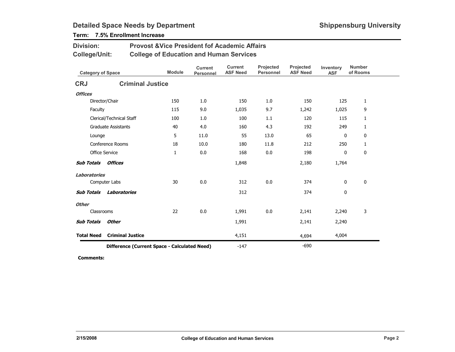## Term: 7.5% Enrollment Increase

Division:

| <b>Category of Space</b> |                                              | <b>Module</b> | <b>Current</b><br>Personnel | <b>Current</b><br><b>ASF Need</b> | Projected<br><b>Personnel</b> | <b>Projected</b><br><b>ASF Need</b> | Inventory<br><b>ASF</b> | <b>Number</b><br>of Rooms |
|--------------------------|----------------------------------------------|---------------|-----------------------------|-----------------------------------|-------------------------------|-------------------------------------|-------------------------|---------------------------|
| <b>CRJ</b>               | <b>Criminal Justice</b>                      |               |                             |                                   |                               |                                     |                         |                           |
| <b>Offices</b>           |                                              |               |                             |                                   |                               |                                     |                         |                           |
| Director/Chair           |                                              | 150           | 1.0                         | 150                               | 1.0                           | 150                                 | 125                     | 1                         |
| Faculty                  |                                              | 115           | 9.0                         | 1,035                             | 9.7                           | 1,242                               | 1,025                   | 9                         |
|                          | Clerical/Technical Staff                     | 100           | 1.0                         | 100                               | 1.1                           | 120                                 | 115                     | 1                         |
|                          | <b>Graduate Assistants</b>                   | 40            | 4.0                         | 160                               | 4.3                           | 192                                 | 249                     | 1                         |
| Lounge                   |                                              | 5             | 11.0                        | 55                                | 13.0                          | 65                                  | 0                       | 0                         |
|                          | Conference Rooms                             | 18            | 10.0                        | 180                               | 11.8                          | 212                                 | 250                     | 1                         |
| Office Service           |                                              | 1             | 0.0                         | 168                               | 0.0                           | 198                                 | 0                       | 0                         |
| <b>Sub Totals</b>        | Offices                                      |               |                             | 1,848                             |                               | 2,180                               | 1,764                   |                           |
| <b>Laboratories</b>      |                                              |               |                             |                                   |                               |                                     |                         |                           |
|                          | Computer Labs                                | 30            | 0.0                         | 312                               | 0.0                           | 374                                 | 0                       | 0                         |
| <b>Sub Totals</b>        | Laboratories                                 |               |                             | 312                               |                               | 374                                 | 0                       |                           |
| <b>Other</b>             |                                              |               |                             |                                   |                               |                                     |                         |                           |
| Classrooms               |                                              | 22            | 0.0                         | 1,991                             | 0.0                           | 2,141                               | 2,240                   | 3                         |
| <b>Sub Totals</b>        | <b>Other</b>                                 |               |                             | 1,991                             |                               | 2,141                               | 2,240                   |                           |
| <b>Total Need</b>        | <b>Criminal Justice</b>                      |               |                             | 4,151                             |                               | 4,694                               | 4,004                   |                           |
|                          | Difference (Current Space - Calculated Need) |               |                             | $-147$                            |                               | $-690$                              |                         |                           |

Provost &Vice President fof Academic Affairs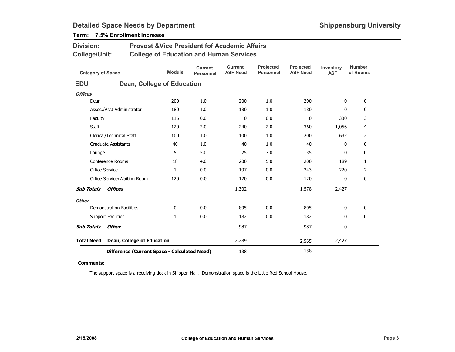| Division:                                       |                                              | <b>Provost &amp; Vice President fof Academic Affairs</b> |                                    |                                   |                               |                              |                         |                           |
|-------------------------------------------------|----------------------------------------------|----------------------------------------------------------|------------------------------------|-----------------------------------|-------------------------------|------------------------------|-------------------------|---------------------------|
| <b>College/Unit:</b>                            |                                              | <b>College of Education and Human Services</b>           |                                    |                                   |                               |                              |                         |                           |
| <b>Category of Space</b>                        |                                              | <b>Module</b>                                            | <b>Current</b><br><b>Personnel</b> | <b>Current</b><br><b>ASF Need</b> | Projected<br><b>Personnel</b> | Projected<br><b>ASF Need</b> | Inventory<br><b>ASF</b> | <b>Number</b><br>of Rooms |
| <b>EDU</b>                                      |                                              | Dean, College of Education                               |                                    |                                   |                               |                              |                         |                           |
| <b>Offices</b>                                  |                                              |                                                          |                                    |                                   |                               |                              |                         |                           |
| Dean                                            |                                              | 200                                                      | 1.0                                | 200                               | 1.0                           | 200                          | 0                       | 0                         |
|                                                 | Assoc./Asst Administrator                    | 180                                                      | 1.0                                | 180                               | 1.0                           | 180                          | 0                       | 0                         |
| Faculty                                         |                                              | 115                                                      | 0.0                                | 0                                 | 0.0                           | 0                            | 330                     | 3                         |
| Staff                                           |                                              | 120                                                      | 2.0                                | 240                               | 2.0                           | 360                          | 1,056                   | 4                         |
|                                                 | Clerical/Technical Staff                     | 100                                                      | 1.0                                | 100                               | 1.0                           | 200                          | 632                     | 2                         |
|                                                 | <b>Graduate Assistants</b>                   | 40                                                       | 1.0                                | 40                                | 1.0                           | 40                           | 0                       | 0                         |
| Lounge                                          |                                              | 5                                                        | 5.0                                | 25                                | 7.0                           | 35                           | 0                       | 0                         |
|                                                 | <b>Conference Rooms</b>                      | 18                                                       | 4.0                                | 200                               | 5.0                           | 200                          | 189                     | 1                         |
| Office Service                                  |                                              | $\mathbf{1}$                                             | 0.0                                | 197                               | 0.0                           | 243                          | 220                     | 2                         |
|                                                 | Office Service/Waiting Room                  | 120                                                      | 0.0                                | 120                               | 0.0                           | 120                          | 0                       | 0                         |
| <b>Sub Totals</b>                               | <b>Offices</b>                               |                                                          |                                    | 1,302                             |                               | 1,578                        | 2,427                   |                           |
| <b>Other</b>                                    |                                              |                                                          |                                    |                                   |                               |                              |                         |                           |
|                                                 | <b>Demonstration Facilities</b>              | $\mathbf 0$                                              | 0.0                                | 805                               | 0.0                           | 805                          | 0                       | 0                         |
|                                                 | <b>Support Facilities</b>                    | 1                                                        | 0.0                                | 182                               | 0.0                           | 182                          | $\Omega$                | $\mathbf 0$               |
| <b>Sub Totals</b>                               | <b>Other</b>                                 |                                                          |                                    | 987                               |                               | 987                          | 0                       |                           |
| <b>Total Need</b><br>Dean, College of Education |                                              |                                                          |                                    | 2,289                             |                               | 2,565                        | 2,427                   |                           |
|                                                 | Difference (Current Space - Calculated Need) | 138                                                      |                                    | $-138$                            |                               |                              |                         |                           |

## Term: 7.5% Enrollment Increase

#### Comments:

The support space is a receiving dock in Shippen Hall. Demonstration space is the Little Red School House.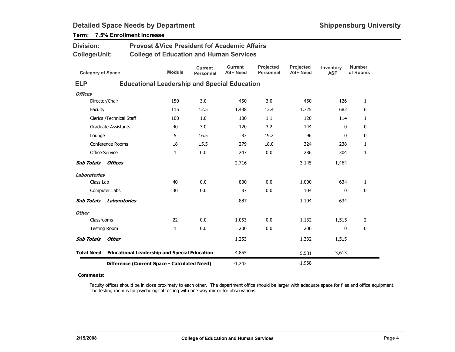| <b>Division:</b>         |                            | <b>Provost &amp; Vice President fof Academic Affairs</b> |                                    |                                   |                               |                              |                         |                           |
|--------------------------|----------------------------|----------------------------------------------------------|------------------------------------|-----------------------------------|-------------------------------|------------------------------|-------------------------|---------------------------|
| <b>College/Unit:</b>     |                            | <b>College of Education and Human Services</b>           |                                    |                                   |                               |                              |                         |                           |
| <b>Category of Space</b> |                            | <b>Module</b>                                            | <b>Current</b><br><b>Personnel</b> | <b>Current</b><br><b>ASF Need</b> | Projected<br><b>Personnel</b> | Projected<br><b>ASF Need</b> | Inventory<br><b>ASF</b> | <b>Number</b><br>of Rooms |
| <b>ELP</b>               |                            | <b>Educational Leadership and Special Education</b>      |                                    |                                   |                               |                              |                         |                           |
| <b>Offices</b>           |                            |                                                          |                                    |                                   |                               |                              |                         |                           |
|                          | Director/Chair             | 150                                                      | 3.0                                | 450                               | 3.0                           | 450                          | 126                     | $\mathbf{1}$              |
| Faculty                  |                            | 115                                                      | 12.5                               | 1,438                             | 13.4                          | 1,725                        | 682                     | 6                         |
|                          | Clerical/Technical Staff   | 100                                                      | 1.0                                | 100                               | 1.1                           | 120                          | 114                     | $\mathbf{1}$              |
|                          | <b>Graduate Assistants</b> | 40                                                       | 3.0                                | 120                               | 3.2                           | 144                          | 0                       | 0                         |
| Lounge                   |                            | 5                                                        | 16.5                               | 83                                | 19.2                          | 96                           | 0                       | 0                         |
|                          | Conference Rooms           | 18                                                       | 15.5                               | 279                               | 18.0                          | 324                          | 238                     | $\mathbf{1}$              |
|                          | <b>Office Service</b>      | $\mathbf{1}$                                             | 0.0                                | 247                               | 0.0                           | 286                          | 304                     | 1                         |
| <b>Sub Totals</b>        | Offices                    |                                                          |                                    | 2,716                             |                               | 3,145                        | 1,464                   |                           |
| <b>Laboratories</b>      |                            |                                                          |                                    |                                   |                               |                              |                         |                           |
| Class Lab                |                            | 40                                                       | 0.0                                | 800                               | 0.0                           | 1,000                        | 634                     | $\mathbf{1}$              |
|                          | Computer Labs              | 30                                                       | 0.0                                | 87                                | 0.0                           | 104                          | 0                       | 0                         |
| <b>Sub Totals</b>        | Laboratories               |                                                          |                                    | 887                               |                               | 1,104                        | 634                     |                           |
| <b>Other</b>             |                            |                                                          |                                    |                                   |                               |                              |                         |                           |
| Classrooms               |                            | 22                                                       | 0.0                                | 1,053                             | 0.0                           | 1,132                        | 1,515                   | $\overline{2}$            |
|                          | <b>Testing Room</b>        | $\mathbf{1}$                                             | 0.0                                | 200                               | 0.0                           | 200                          | 0                       | 0                         |
| <b>Sub Totals</b>        | <b>Other</b>               |                                                          |                                    | 1,253                             |                               | 1,332                        | 1,515                   |                           |
| <b>Total Need</b>        |                            | <b>Educational Leadership and Special Education</b>      |                                    | 4,855                             |                               | 5,581                        | 3,613                   |                           |
|                          |                            | Difference (Current Space - Calculated Need)             |                                    | $-1,242$                          |                               | $-1,968$                     |                         |                           |

## Term: 7.5% Enrollment Increase

#### Comments:

Faculty offices should be in close proximety to each other. The department office should be larger with adequate space for files and office equipment. The testing room is for psychological testing with one way mirror for observations.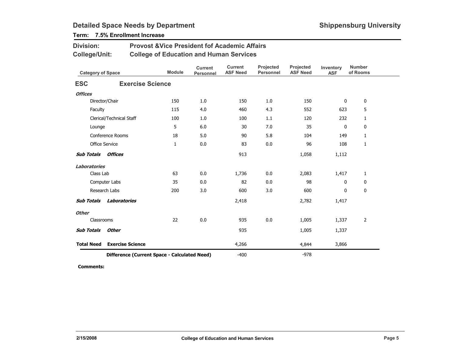### Term: 7.5% Enrollment Increase

Division:

| <b>College/Unit:</b>      |                                              | <b>College of Education and Human Services</b> |                             |                                   |                               |                              |                         |                           |
|---------------------------|----------------------------------------------|------------------------------------------------|-----------------------------|-----------------------------------|-------------------------------|------------------------------|-------------------------|---------------------------|
| <b>Category of Space</b>  |                                              | <b>Module</b>                                  | <b>Current</b><br>Personnel | <b>Current</b><br><b>ASF Need</b> | Projected<br><b>Personnel</b> | Projected<br><b>ASF Need</b> | Inventory<br><b>ASF</b> | <b>Number</b><br>of Rooms |
| <b>ESC</b>                | <b>Exercise Science</b>                      |                                                |                             |                                   |                               |                              |                         |                           |
| <b>Offices</b>            |                                              |                                                |                             |                                   |                               |                              |                         |                           |
|                           | Director/Chair                               | 150                                            | 1.0                         | 150                               | 1.0                           | 150                          | 0                       | 0                         |
| Faculty                   |                                              | 115                                            | 4.0                         | 460                               | 4.3                           | 552                          | 623                     | 5                         |
|                           | Clerical/Technical Staff                     | 100                                            | 1.0                         | 100                               | 1.1                           | 120                          | 232                     | $\mathbf{1}$              |
| Lounge                    |                                              | 5                                              | 6.0                         | 30                                | 7.0                           | 35                           | 0                       | 0                         |
|                           | Conference Rooms                             | 18                                             | 5.0                         | 90                                | 5.8                           | 104                          | 149                     | $\mathbf{1}$              |
| Office Service            |                                              | $\mathbf{1}$                                   | 0.0                         | 83                                | 0.0                           | 96                           | 108                     | $\mathbf{1}$              |
| <b>Sub Totals Offices</b> |                                              |                                                |                             | 913                               |                               | 1,058                        | 1,112                   |                           |
| <b>Laboratories</b>       |                                              |                                                |                             |                                   |                               |                              |                         |                           |
| Class Lab                 |                                              | 63                                             | 0.0                         | 1,736                             | 0.0                           | 2,083                        | 1,417                   | $\mathbf{1}$              |
|                           | Computer Labs                                | 35                                             | 0.0                         | 82                                | 0.0                           | 98                           | $\mathbf{0}$            | 0                         |
|                           | Research Labs                                | 200                                            | 3.0                         | 600                               | 3.0                           | 600                          | 0                       | 0                         |
| <b>Sub Totals</b>         | Laboratories                                 |                                                |                             | 2,418                             |                               | 2,782                        | 1,417                   |                           |
| <b>Other</b>              |                                              |                                                |                             |                                   |                               |                              |                         |                           |
| Classrooms                |                                              | 22                                             | 0.0                         | 935                               | 0.0                           | 1,005                        | 1,337                   | $\overline{2}$            |
| <b>Sub Totals</b>         | <b>Other</b>                                 |                                                |                             | 935                               |                               | 1,005                        | 1,337                   |                           |
| <b>Total Need</b>         | <b>Exercise Science</b>                      |                                                |                             | 4,266                             |                               | 4,844                        | 3,866                   |                           |
|                           | Difference (Current Space - Calculated Need) |                                                |                             | $-400$                            |                               | $-978$                       |                         |                           |

Provost &Vice President fof Academic Affairs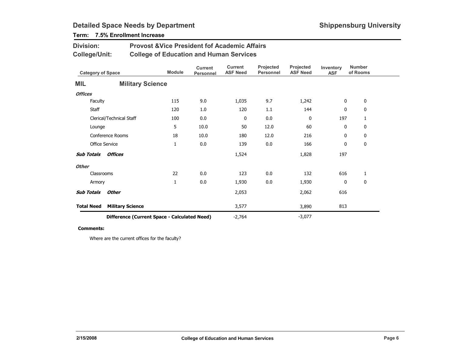## Term: 7.5% Enrollment Increase

Division:

| <b>College/Unit:</b>     |                                              | <b>College of Education and Human Services</b> |                             |                                   |                               |                              |                         |                           |
|--------------------------|----------------------------------------------|------------------------------------------------|-----------------------------|-----------------------------------|-------------------------------|------------------------------|-------------------------|---------------------------|
| <b>Category of Space</b> |                                              | <b>Module</b>                                  | <b>Current</b><br>Personnel | <b>Current</b><br><b>ASF Need</b> | Projected<br><b>Personnel</b> | Projected<br><b>ASF Need</b> | Inventory<br><b>ASF</b> | <b>Number</b><br>of Rooms |
| <b>MIL</b>               |                                              | <b>Military Science</b>                        |                             |                                   |                               |                              |                         |                           |
| <b>Offices</b>           |                                              |                                                |                             |                                   |                               |                              |                         |                           |
| Faculty                  |                                              | 115                                            | 9.0                         | 1,035                             | 9.7                           | 1,242                        | 0                       | 0                         |
| <b>Staff</b>             |                                              | 120                                            | 1.0                         | 120                               | 1.1                           | 144                          | 0                       | 0                         |
|                          | Clerical/Technical Staff                     | 100                                            | 0.0                         | 0                                 | 0.0                           | 0                            | 197                     | 1                         |
| Lounge                   |                                              | 5                                              | 10.0                        | 50                                | 12.0                          | 60                           | 0                       | 0                         |
|                          | Conference Rooms                             | 18                                             | 10.0                        | 180                               | 12.0                          | 216                          | 0                       | 0                         |
|                          | <b>Office Service</b>                        | $\mathbf{1}$                                   | 0.0                         | 139                               | 0.0                           | 166                          | 0                       | 0                         |
| <b>Sub Totals</b>        | <b>Offices</b>                               |                                                |                             | 1,524                             |                               | 1,828                        | 197                     |                           |
| <b>Other</b>             |                                              |                                                |                             |                                   |                               |                              |                         |                           |
|                          | Classrooms                                   | 22                                             | 0.0                         | 123                               | 0.0                           | 132                          | 616                     | 1                         |
| Armory                   |                                              | $\mathbf{1}$                                   | 0.0                         | 1,930                             | 0.0                           | 1,930                        | 0                       | 0                         |
| <b>Sub Totals</b>        | <b>Other</b>                                 |                                                |                             | 2,053                             |                               | 2,062                        | 616                     |                           |
| <b>Total Need</b>        | <b>Military Science</b>                      |                                                |                             | 3,577                             |                               | 3,890                        | 813                     |                           |
|                          | Difference (Current Space - Calculated Need) |                                                |                             |                                   |                               | $-3,077$                     |                         |                           |

Provost &Vice President fof Academic Affairs

#### Comments:

Where are the current offices for the faculty?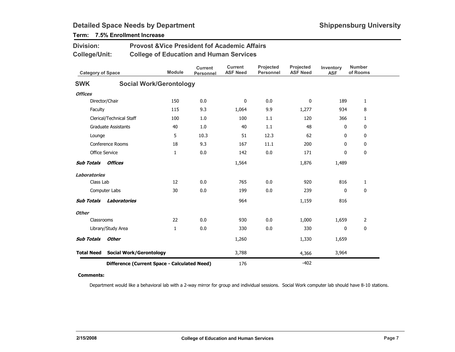| <b>Division:</b>         |                            | <b>Provost &amp;Vice President fof Academic Affairs</b> |                                    |                                   |                               |                              |                         |                           |  |
|--------------------------|----------------------------|---------------------------------------------------------|------------------------------------|-----------------------------------|-------------------------------|------------------------------|-------------------------|---------------------------|--|
| <b>College/Unit:</b>     |                            | <b>College of Education and Human Services</b>          |                                    |                                   |                               |                              |                         |                           |  |
| <b>Category of Space</b> |                            | <b>Module</b>                                           | <b>Current</b><br><b>Personnel</b> | <b>Current</b><br><b>ASF Need</b> | Projected<br><b>Personnel</b> | Projected<br><b>ASF Need</b> | Inventory<br><b>ASF</b> | <b>Number</b><br>of Rooms |  |
| <b>SWK</b>               |                            | <b>Social Work/Gerontology</b>                          |                                    |                                   |                               |                              |                         |                           |  |
| <b>Offices</b>           |                            |                                                         |                                    |                                   |                               |                              |                         |                           |  |
|                          | Director/Chair             | 150                                                     | 0.0                                | $\mathbf{0}$                      | 0.0                           | $\mathbf{0}$                 | 189                     | $\mathbf{1}$              |  |
| Faculty                  |                            | 115                                                     | 9.3                                | 1,064                             | 9.9                           | 1,277                        | 934                     | 8                         |  |
|                          | Clerical/Technical Staff   | 100                                                     | 1.0                                | 100                               | 1.1                           | 120                          | 366                     | $\mathbf{1}$              |  |
|                          | <b>Graduate Assistants</b> | 40                                                      | 1.0                                | 40                                | 1.1                           | 48                           | 0                       | 0                         |  |
| Lounge                   |                            | 5                                                       | 10.3                               | 51                                | 12.3                          | 62                           | $\mathbf{0}$            | 0                         |  |
|                          | Conference Rooms           | 18                                                      | 9.3                                | 167                               | 11.1                          | 200                          | $\mathbf{0}$            | 0                         |  |
|                          | Office Service             | $\mathbf{1}$                                            | 0.0                                | 142                               | 0.0                           | 171                          | 0                       | 0                         |  |
| <b>Sub Totals</b>        | Offices                    |                                                         |                                    | 1,564                             |                               | 1,876                        | 1,489                   |                           |  |
| <b>Laboratories</b>      |                            |                                                         |                                    |                                   |                               |                              |                         |                           |  |
| Class Lab                |                            | 12                                                      | 0.0                                | 765                               | 0.0                           | 920                          | 816                     | 1                         |  |
|                          | Computer Labs              | 30                                                      | 0.0                                | 199                               | 0.0                           | 239                          | $\mathbf{0}$            | 0                         |  |
| <b>Sub Totals</b>        | Laboratories               |                                                         |                                    | 964                               |                               | 1,159                        | 816                     |                           |  |
| <b>Other</b>             |                            |                                                         |                                    |                                   |                               |                              |                         |                           |  |
| Classrooms               |                            | 22                                                      | 0.0                                | 930                               | 0.0                           | 1,000                        | 1,659                   | 2                         |  |
|                          | Library/Study Area         | 1                                                       | 0.0                                | 330                               | 0.0                           | 330                          | 0                       | 0                         |  |
| <b>Sub Totals</b>        | <b>Other</b>               |                                                         |                                    | 1,260                             |                               | 1,330                        | 1,659                   |                           |  |
| <b>Total Need</b>        |                            | <b>Social Work/Gerontology</b>                          |                                    | 3,788                             |                               | 4,366                        | 3,964                   |                           |  |
|                          |                            | Difference (Current Space - Calculated Need)            |                                    | 176                               |                               | $-402$                       |                         |                           |  |

## Term: 7.5% Enrollment Increase

#### Comments:

Department would like a behavioral lab with a 2-way mirror for group and individual sessions. Social Work computer lab should have 8-10 stations.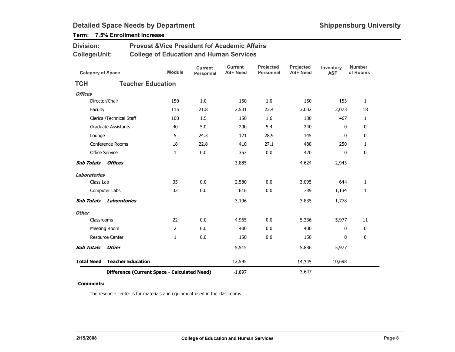### Term: 7.5% Enrollment Increase

Division:

| <b>College/Unit:</b>     |                                              |                | <b>College of Education and Human Services</b> |                                   |                        |                              |                         |                           |
|--------------------------|----------------------------------------------|----------------|------------------------------------------------|-----------------------------------|------------------------|------------------------------|-------------------------|---------------------------|
| <b>Category of Space</b> |                                              | <b>Module</b>  | <b>Current</b><br><b>Personnel</b>             | <b>Current</b><br><b>ASF Need</b> | Projected<br>Personnel | Projected<br><b>ASF Need</b> | Inventory<br><b>ASF</b> | <b>Number</b><br>of Rooms |
| <b>TCH</b>               | <b>Teacher Education</b>                     |                |                                                |                                   |                        |                              |                         |                           |
| <b>Offices</b>           |                                              |                |                                                |                                   |                        |                              |                         |                           |
|                          | Director/Chair                               | 150            | 1.0                                            | 150                               | 1.0                    | 150                          | 153                     | $\mathbf{1}$              |
| Faculty                  |                                              | 115            | 21.8                                           | 2,501                             | 23.4                   | 3,002                        | 2,073                   | 18                        |
|                          | Clerical/Technical Staff                     | 100            | 1.5                                            | 150                               | 1.6                    | 180                          | 467                     | $\mathbf{1}$              |
|                          | <b>Graduate Assistants</b>                   | 40             | 5.0                                            | 200                               | 5.4                    | 240                          | $\mathbf 0$             | 0                         |
| Lounge                   |                                              | 5              | 24.3                                           | 121                               | 28.9                   | 145                          | 0                       | 0                         |
|                          | Conference Rooms                             | 18             | 22.8                                           | 410                               | 27.1                   | 488                          | 250                     | 1                         |
|                          | Office Service                               | $\mathbf{1}$   | 0.0                                            | 353                               | 0.0                    | 420                          | 0                       | 0                         |
| <b>Sub Totals</b>        | Offices                                      |                |                                                | 3,885                             |                        | 4,624                        | 2,943                   |                           |
| <b>Laboratories</b>      |                                              |                |                                                |                                   |                        |                              |                         |                           |
| Class Lab                |                                              | 35             | 0.0                                            | 2,580                             | 0.0                    | 3,095                        | 644                     | $\mathbf{1}$              |
|                          | Computer Labs                                | 32             | 0.0                                            | 616                               | 0.0                    | 739                          | 1,134                   | 1                         |
| <b>Sub Totals</b>        | Laboratories                                 |                |                                                | 3,196                             |                        | 3,835                        | 1,778                   |                           |
| <b>Other</b>             |                                              |                |                                                |                                   |                        |                              |                         |                           |
| Classrooms               |                                              | 22             | 0.0                                            | 4,965                             | 0.0                    | 5,336                        | 5,977                   | 11                        |
|                          | Meeting Room                                 | $\overline{2}$ | 0.0                                            | 400                               | 0.0                    | 400                          | 0                       | $\boldsymbol{0}$          |
|                          | <b>Resource Center</b>                       | $\mathbf{1}$   | 0.0                                            | 150                               | 0.0                    | 150                          | 0                       | $\boldsymbol{0}$          |
| <b>Sub Totals</b>        | <b>Other</b>                                 |                |                                                | 5,515                             |                        | 5,886                        | 5,977                   |                           |
| <b>Total Need</b>        | <b>Teacher Education</b>                     |                |                                                | 12,595                            |                        | 14,345                       | 10,698                  |                           |
|                          | Difference (Current Space - Calculated Need) |                |                                                | $-1,897$                          |                        | $-3,647$                     |                         |                           |

Provost &Vice President fof Academic Affairs

#### Comments:

The resource center is for materials and equipment used in the classrooms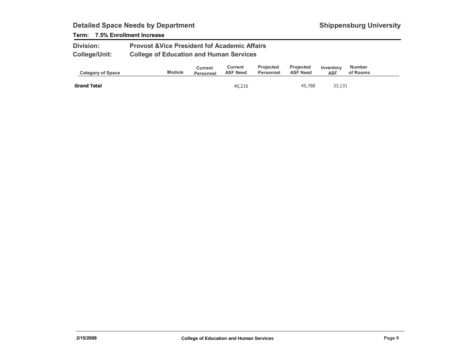### Term: 7.5% Enrollment Increase

| <b>Division:</b>     | <b>Provost &amp; Vice President fof Academic Affairs</b> |
|----------------------|----------------------------------------------------------|
| <b>College/Unit:</b> | <b>College of Education and Human Services</b>           |

| <b>Category of Space</b> | <b>Module</b> | Current<br><b>Personnel</b> | Current<br><b>ASF Need</b> | <b>Projected</b><br>Personnel | <b>Projected</b><br><b>ASF Need</b> | Inventory<br><b>ASF</b> | <b>Number</b><br>of Rooms |  |
|--------------------------|---------------|-----------------------------|----------------------------|-------------------------------|-------------------------------------|-------------------------|---------------------------|--|
| <b>Grand Total</b>       |               |                             | 40,216                     |                               | 45,788                              | 33,131                  |                           |  |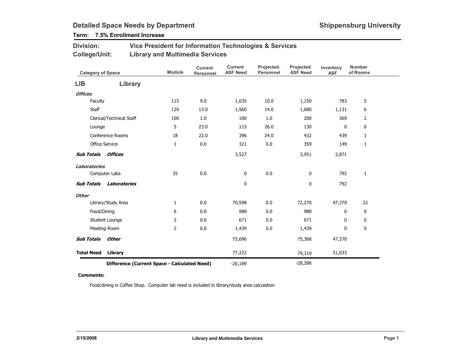## Term: 7.5% Enrollment Increase

| <b>Division:</b> | Vice President for Information Technologies & Services |
|------------------|--------------------------------------------------------|
| College/Unit:    | <b>Library and Multimedia Services</b>                 |

| <b>Category of Space</b>                     |                          | <b>Module</b>  | <b>Current</b><br>Personnel | <b>Current</b><br><b>ASF Need</b> | Projected<br><b>Personnel</b> | Projected<br><b>ASF Need</b> | Inventory<br><b>ASF</b> | <b>Number</b><br>of Rooms |
|----------------------------------------------|--------------------------|----------------|-----------------------------|-----------------------------------|-------------------------------|------------------------------|-------------------------|---------------------------|
| LIB                                          | Library                  |                |                             |                                   |                               |                              |                         |                           |
| <b>Offices</b>                               |                          |                |                             |                                   |                               |                              |                         |                           |
| Faculty                                      |                          | 115            | 9.0                         | 1,035                             | 10.0                          | 1,150                        | 783                     | 5                         |
| <b>Staff</b>                                 |                          | 120            | 13.0                        | 1,560                             | 14.0                          | 1,680                        | 1,131                   | 6                         |
|                                              | Clerical/Technical Staff | 100            | 1.0                         | 100                               | $1.0\,$                       | 200                          | 369                     | 2                         |
| Lounge                                       |                          | 5              | 23.0                        | 115                               | 26.0                          | 130                          | 0                       | 0                         |
|                                              | Conference Rooms         | 18             | 22.0                        | 396                               | 24.0                          | 432                          | 439                     | 1                         |
|                                              | <b>Office Service</b>    | 1              | 0.0                         | 321                               | 0.0                           | 359                          | 149                     | 1                         |
| <b>Sub Totals</b>                            | Offices                  |                |                             | 3,527                             |                               | 3,951                        | 2,871                   |                           |
| <b>Laboratories</b>                          |                          |                |                             |                                   |                               |                              |                         |                           |
| Computer Labs                                |                          | 35             | 0.0                         | 0                                 | 0.0                           | 0                            | 792                     | $\mathbf{1}$              |
| <b>Sub Totals</b>                            | Laboratories             |                |                             | 0                                 |                               | 0                            | 792                     |                           |
| <b>Other</b>                                 |                          |                |                             |                                   |                               |                              |                         |                           |
|                                              | Library/Study Area       | $\mathbf{1}$   | 0.0                         | 70,598                            | 0.0                           | 72,270                       | 47,370                  | 22                        |
| Food/Dining                                  |                          | 6              | 0.0                         | 988                               | 0.0                           | 988                          | 0                       | 0                         |
|                                              | Student Lounge           | $\overline{2}$ | 0.0                         | 671                               | 0.0                           | 671                          | 0                       | 0                         |
| Meeting Room                                 |                          | 2              | 0.0                         | 1,439                             | 0.0                           | 1,439                        | 0                       | 0                         |
| <b>Sub Totals</b>                            | <b>Other</b>             |                |                             | 73,696                            |                               | 75,368                       | 47,370                  |                           |
| <b>Total Need</b>                            | Library                  |                |                             | 77,222                            |                               | 79,319                       | 51,033                  |                           |
| Difference (Current Space - Calculated Need) |                          |                |                             | $-26,189$                         |                               | $-28,286$                    |                         |                           |

#### Comments:

Food/dining is Coffee Shop. Computer lab need is included in library/study area calculation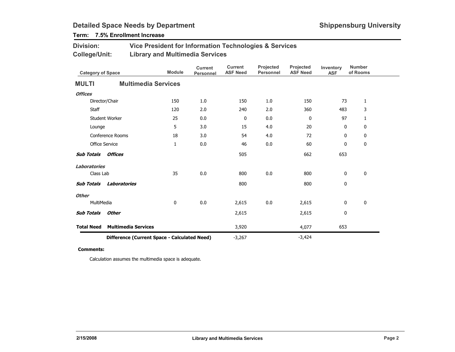### Term: 7.5% Enrollment Increase

| <b>Division:</b> | Vice President for Information Technologies & Services |
|------------------|--------------------------------------------------------|
| College/Unit:    | <b>Library and Multimedia Services</b>                 |

| <b>Category of Space</b>                     |                            | <b>Module</b> | <b>Current</b><br>Personnel | <b>Current</b><br><b>ASF Need</b> | Projected<br><b>Personnel</b> | Projected<br><b>ASF Need</b> | Inventory<br><b>ASF</b> | <b>Number</b><br>of Rooms |
|----------------------------------------------|----------------------------|---------------|-----------------------------|-----------------------------------|-------------------------------|------------------------------|-------------------------|---------------------------|
| <b>MULTI</b>                                 | <b>Multimedia Services</b> |               |                             |                                   |                               |                              |                         |                           |
| <b>Offices</b>                               |                            |               |                             |                                   |                               |                              |                         |                           |
|                                              | Director/Chair             | 150           | 1.0                         | 150                               | 1.0                           | 150                          | 73                      | $\mathbf{1}$              |
| Staff                                        |                            | 120           | 2.0                         | 240                               | 2.0                           | 360                          | 483                     | 3                         |
|                                              | Student Worker             | 25            | 0.0                         | 0                                 | 0.0                           | $\mathbf 0$                  | 97                      | $\mathbf{1}$              |
| Lounge                                       |                            | 5             | 3.0                         | 15                                | 4.0                           | 20                           | 0                       | 0                         |
|                                              | Conference Rooms           | 18            | 3.0                         | 54                                | 4.0                           | 72                           | 0                       | 0                         |
| <b>Office Service</b>                        |                            | 1             | 0.0                         | 46                                | $0.0\,$                       | 60                           | 0                       | 0                         |
| <b>Sub Totals</b>                            | <b>Offices</b>             |               |                             | 505                               |                               | 662                          | 653                     |                           |
| <b>Laboratories</b>                          |                            |               |                             |                                   |                               |                              |                         |                           |
| Class Lab                                    |                            | 35            | 0.0                         | 800                               | $0.0\,$                       | 800                          | 0                       | 0                         |
| <b>Sub Totals</b>                            | <b>Laboratories</b>        |               |                             | 800                               |                               | 800                          | $\mathbf 0$             |                           |
| <b>Other</b>                                 |                            |               |                             |                                   |                               |                              |                         |                           |
| MultiMedia                                   |                            | 0             | 0.0                         | 2,615                             | 0.0                           | 2,615                        | 0                       | 0                         |
| <b>Sub Totals</b>                            | <b>Other</b>               |               |                             | 2,615                             |                               | 2,615                        | 0                       |                           |
| <b>Total Need</b>                            | <b>Multimedia Services</b> |               |                             | 3,920                             |                               | 4,077                        | 653                     |                           |
| Difference (Current Space - Calculated Need) |                            |               | $-3,267$                    |                                   | $-3,424$                      |                              |                         |                           |

#### Comments:

Calculation assumes the multimedia space is adequate.